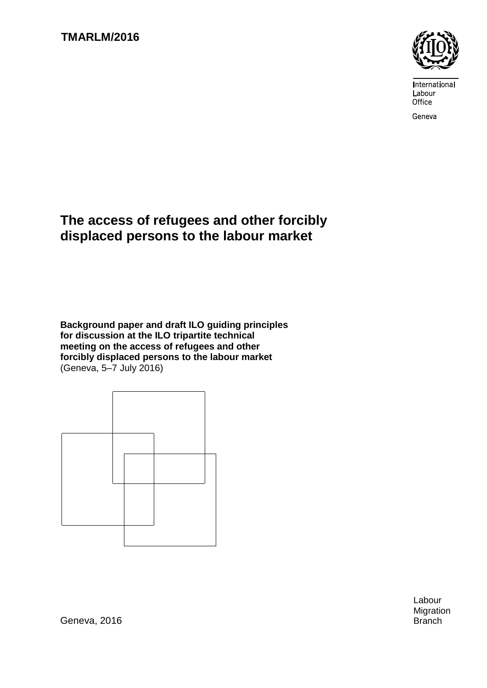

International Labour Office

Geneva

# **The access of refugees and other forcibly displaced persons to the labour market**

**Background paper and draft ILO guiding principles for discussion at the ILO tripartite technical meeting on the access of refugees and other forcibly displaced persons to the labour market** (Geneva, 5–7 July 2016)



Labour Migration

Geneva, 2016 **Branch**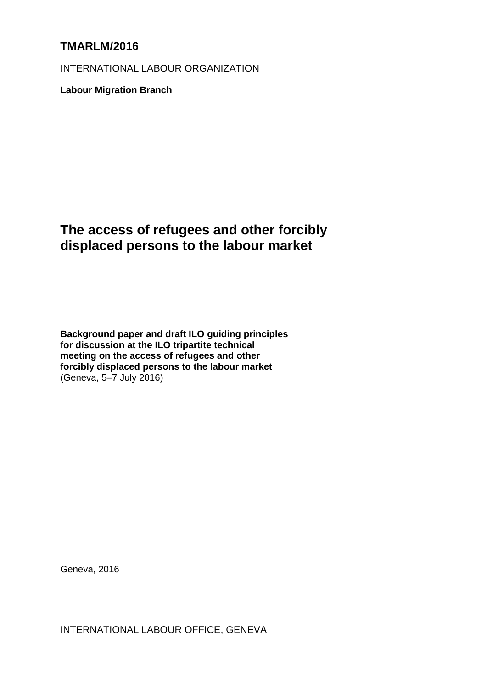## **TMARLM/2016**

INTERNATIONAL LABOUR ORGANIZATION

**Labour Migration Branch**

# **The access of refugees and other forcibly displaced persons to the labour market**

**Background paper and draft ILO guiding principles for discussion at the ILO tripartite technical meeting on the access of refugees and other forcibly displaced persons to the labour market** (Geneva, 5–7 July 2016)

Geneva, 2016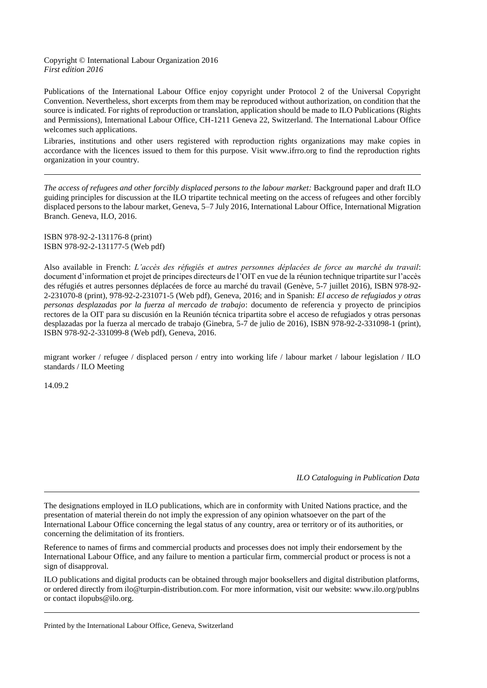#### Copyright © International Labour Organization 2016 *First edition 2016*

Publications of the International Labour Office enjoy copyright under Protocol 2 of the Universal Copyright Convention. Nevertheless, short excerpts from them may be reproduced without authorization, on condition that the source is indicated. For rights of reproduction or translation, application should be made to ILO Publications (Rights and Permissions), International Labour Office, CH-1211 Geneva 22, Switzerland. The International Labour Office welcomes such applications.

Libraries, institutions and other users registered with reproduction rights organizations may make copies in accordance with the licences issued to them for this purpose. Visit www.ifrro.org to find the reproduction rights organization in your country.

*The access of refugees and other forcibly displaced persons to the labour market:* Background paper and draft ILO guiding principles for discussion at the ILO tripartite technical meeting on the access of refugees and other forcibly displaced persons to the labour market, Geneva, 5–7 July 2016, International Labour Office, International Migration Branch. Geneva, ILO, 2016.

ISBN 978-92-2-131176-8 (print) ISBN 978-92-2-131177-5 (Web pdf)

Also available in French: *L'accès des réfugiés et autres personnes déplacées de force au marché du travail*: document d'information et projet de principes directeurs de l'OIT en vue de la réunion technique tripartite sur l'accès des réfugiés et autres personnes déplacées de force au marché du travail (Genève, 5-7 juillet 2016), ISBN 978-92- 2-231070-8 (print), 978-92-2-231071-5 (Web pdf), Geneva, 2016; and in Spanish: *El acceso de refugiados y otras personas desplazadas por la fuerza al mercado de trabajo*: documento de referencia y proyecto de principios rectores de la OIT para su discusión en la Reunión técnica tripartita sobre el acceso de refugiados y otras personas desplazadas por la fuerza al mercado de trabajo (Ginebra, 5-7 de julio de 2016), ISBN 978-92-2-331098-1 (print), ISBN 978-92-2-331099-8 (Web pdf), Geneva, 2016.

migrant worker / refugee / displaced person / entry into working life / labour market / labour legislation / ILO standards / ILO Meeting

14.09.2

*ILO Cataloguing in Publication Data*

The designations employed in ILO publications, which are in conformity with United Nations practice, and the presentation of material therein do not imply the expression of any opinion whatsoever on the part of the International Labour Office concerning the legal status of any country, area or territory or of its authorities, or concerning the delimitation of its frontiers.

Reference to names of firms and commercial products and processes does not imply their endorsement by the International Labour Office, and any failure to mention a particular firm, commercial product or process is not a sign of disapproval.

ILO publications and digital products can be obtained through major booksellers and digital distribution platforms, or ordered directly from ilo@turpin-distribution.com. For more information, visit our website: www.ilo.org/publns or contact ilopubs@ilo.org.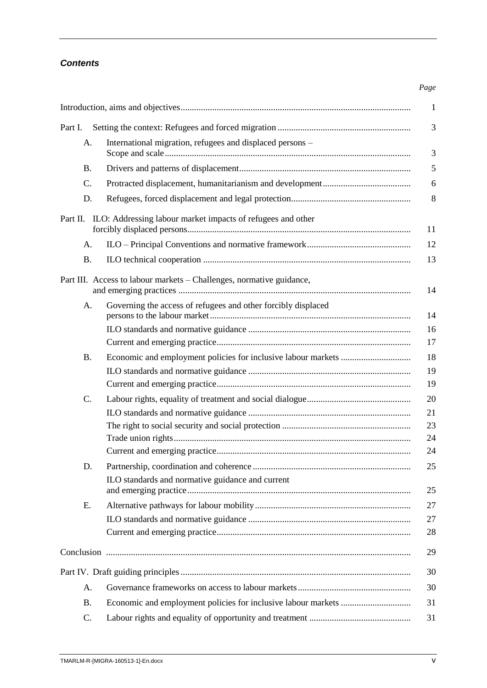### *Contents*

|                                                                         | $\mathbf{1}$                                                        |  |  |
|-------------------------------------------------------------------------|---------------------------------------------------------------------|--|--|
| 3<br>Part I.                                                            |                                                                     |  |  |
| A.                                                                      | International migration, refugees and displaced persons –<br>3      |  |  |
| <b>B.</b>                                                               | 5                                                                   |  |  |
| C.                                                                      | 6                                                                   |  |  |
| D.                                                                      | 8                                                                   |  |  |
| ILO: Addressing labour market impacts of refugees and other<br>Part II. |                                                                     |  |  |
| A.                                                                      | 12                                                                  |  |  |
| <b>B.</b>                                                               | 13                                                                  |  |  |
| Part III. Access to labour markets - Challenges, normative guidance,    |                                                                     |  |  |
| A.                                                                      | Governing the access of refugees and other forcibly displaced<br>14 |  |  |
|                                                                         | 16<br>17                                                            |  |  |
| <b>B.</b>                                                               | 18                                                                  |  |  |
|                                                                         | 19<br>19                                                            |  |  |
| C.                                                                      | 20                                                                  |  |  |
|                                                                         | 21                                                                  |  |  |
|                                                                         | 23                                                                  |  |  |
|                                                                         | 24                                                                  |  |  |
|                                                                         | 24                                                                  |  |  |
| D.                                                                      | 25<br>ILO standards and normative guidance and current<br>25        |  |  |
| E.                                                                      | 27                                                                  |  |  |
|                                                                         | 27                                                                  |  |  |
|                                                                         | 28                                                                  |  |  |
|                                                                         | 29                                                                  |  |  |
| 30                                                                      |                                                                     |  |  |
| A.                                                                      | 30                                                                  |  |  |
| <b>B.</b>                                                               | 31                                                                  |  |  |
| C.                                                                      | 31                                                                  |  |  |

*Page*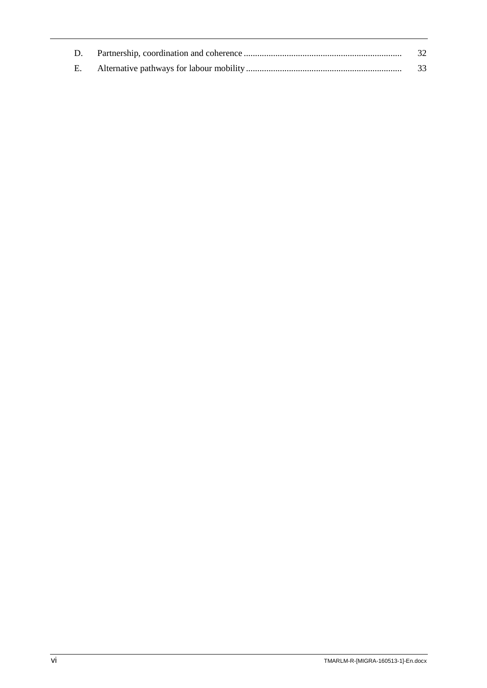|  | 32 |
|--|----|
|  |    |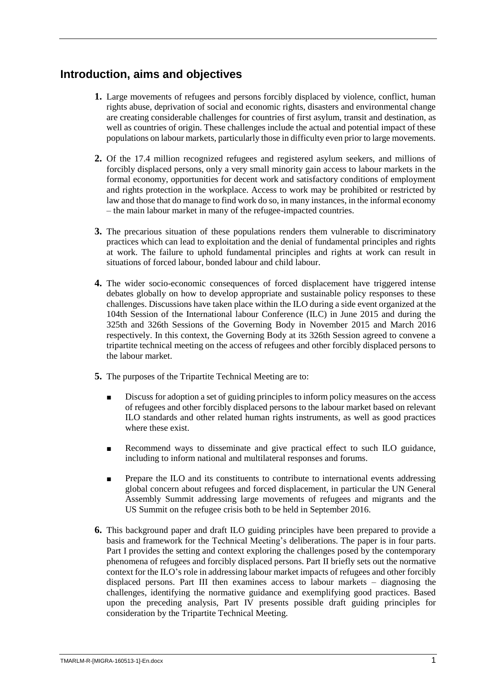## <span id="page-6-0"></span>**Introduction, aims and objectives**

- **1.** Large movements of refugees and persons forcibly displaced by violence, conflict, human rights abuse, deprivation of social and economic rights, disasters and environmental change are creating considerable challenges for countries of first asylum, transit and destination, as well as countries of origin. These challenges include the actual and potential impact of these populations on labour markets, particularly those in difficulty even prior to large movements.
- **2.** Of the 17.4 million recognized refugees and registered asylum seekers, and millions of forcibly displaced persons, only a very small minority gain access to labour markets in the formal economy, opportunities for decent work and satisfactory conditions of employment and rights protection in the workplace. Access to work may be prohibited or restricted by law and those that do manage to find work do so, in many instances, in the informal economy – the main labour market in many of the refugee-impacted countries.
- **3.** The precarious situation of these populations renders them vulnerable to discriminatory practices which can lead to exploitation and the denial of fundamental principles and rights at work. The failure to uphold fundamental principles and rights at work can result in situations of forced labour, bonded labour and child labour.
- **4.** The wider socio-economic consequences of forced displacement have triggered intense debates globally on how to develop appropriate and sustainable policy responses to these challenges. Discussions have taken place within the ILO during a side event organized at the 104th Session of the International labour Conference (ILC) in June 2015 and during the 325th and 326th Sessions of the Governing Body in November 2015 and March 2016 respectively. In this context, the Governing Body at its 326th Session agreed to convene a tripartite technical meeting on the access of refugees and other forcibly displaced persons to the labour market.
- **5.** The purposes of the Tripartite Technical Meeting are to:
	- Discuss for adoption a set of guiding principles to inform policy measures on the access of refugees and other forcibly displaced persons to the labour market based on relevant ILO standards and other related human rights instruments, as well as good practices where these exist.
	- Recommend ways to disseminate and give practical effect to such ILO guidance, including to inform national and multilateral responses and forums.
	- Prepare the ILO and its constituents to contribute to international events addressing global concern about refugees and forced displacement, in particular the UN General Assembly Summit addressing large movements of refugees and migrants and the US Summit on the refugee crisis both to be held in September 2016.
- **6.** This background paper and draft ILO guiding principles have been prepared to provide a basis and framework for the Technical Meeting's deliberations. The paper is in four parts. Part I provides the setting and context exploring the challenges posed by the contemporary phenomena of refugees and forcibly displaced persons. Part II briefly sets out the normative context for the ILO's role in addressing labour market impacts of refugees and other forcibly displaced persons. Part III then examines access to labour markets – diagnosing the challenges, identifying the normative guidance and exemplifying good practices. Based upon the preceding analysis, Part IV presents possible draft guiding principles for consideration by the Tripartite Technical Meeting.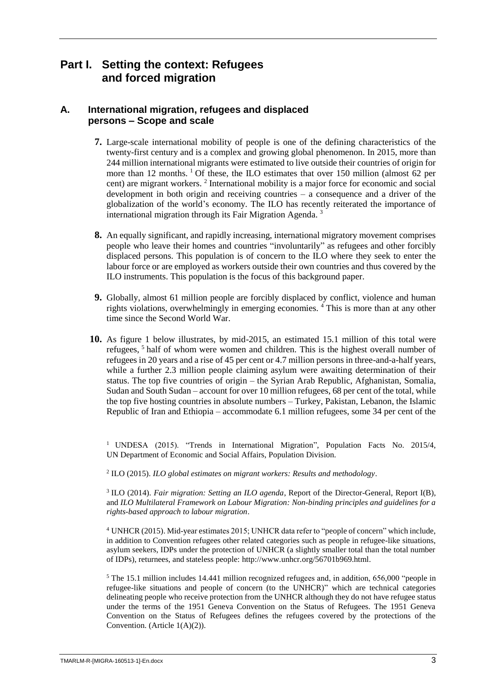### <span id="page-8-0"></span>**Part I. Setting the context: Refugees and forced migration**

#### <span id="page-8-1"></span>**A. International migration, refugees and displaced persons – Scope and scale**

- **7.** Large-scale international mobility of people is one of the defining characteristics of the twenty-first century and is a complex and growing global phenomenon. In 2015, more than 244 million international migrants were estimated to live outside their countries of origin for more than 12 months.  $\frac{1}{1}$  Of these, the ILO estimates that over 150 million (almost 62 per cent) are migrant workers. <sup>2</sup> International mobility is a major force for economic and social development in both origin and receiving countries  $-$  a consequence and a driver of the globalization of the world's economy. The ILO has recently reiterated the importance of international migration through its Fair Migration Agenda. <sup>3</sup>
- **8.** An equally significant, and rapidly increasing, international migratory movement comprises people who leave their homes and countries "involuntarily" as refugees and other forcibly displaced persons. This population is of concern to the ILO where they seek to enter the labour force or are employed as workers outside their own countries and thus covered by the ILO instruments. This population is the focus of this background paper.
- **9.** Globally, almost 61 million people are forcibly displaced by conflict, violence and human rights violations, overwhelmingly in emerging economies.<sup>4</sup> This is more than at any other time since the Second World War.
- **10.** As figure 1 below illustrates, by mid-2015, an estimated 15.1 million of this total were refugees, <sup>5</sup> half of whom were women and children. This is the highest overall number of refugees in 20 years and a rise of 45 per cent or 4.7 million persons in three-and-a-half years, while a further 2.3 million people claiming asylum were awaiting determination of their status. The top five countries of origin – the Syrian Arab Republic, Afghanistan, Somalia, Sudan and South Sudan – account for over 10 million refugees, 68 per cent of the total, while the top five hosting countries in absolute numbers – Turkey, Pakistan, Lebanon, the Islamic Republic of Iran and Ethiopia – accommodate 6.1 million refugees, some 34 per cent of the

<sup>1</sup> UNDESA (2015). "Trends in International Migration", Population Facts No. 2015/4, UN Department of Economic and Social Affairs, Population Division.

2 ILO (2015). *ILO global estimates on migrant workers: Results and methodology*.

<sup>3</sup> ILO (2014). *Fair migration: Setting an ILO agenda*, Report of the Director-General, Report I(B), and *ILO Multilateral Framework on Labour Migration: Non-binding principles and guidelines for a rights-based approach to labour migration*.

<sup>4</sup> UNHCR (2015). Mid-year estimates 2015; UNHCR data refer to "people of concern" which include, in addition to Convention refugees other related categories such as people in refugee-like situations, asylum seekers, IDPs under the protection of UNHCR (a slightly smaller total than the total number of IDPs), returnees, and stateless people: [http://www.unhcr.org/56701b969.html.](http://www.unhcr.org/56701b969.html)

<sup>5</sup> The 15.1 million includes 14.441 million recognized refugees and, in addition, 656,000 "people in refugee-like situations and people of concern (to the UNHCR)" which are technical categories delineating people who receive protection from the UNHCR although they do not have refugee status under the terms of the 1951 Geneva Convention on the Status of Refugees. The 1951 Geneva Convention on the Status of Refugees defines the refugees covered by the protections of the Convention. (Article 1(A)(2)).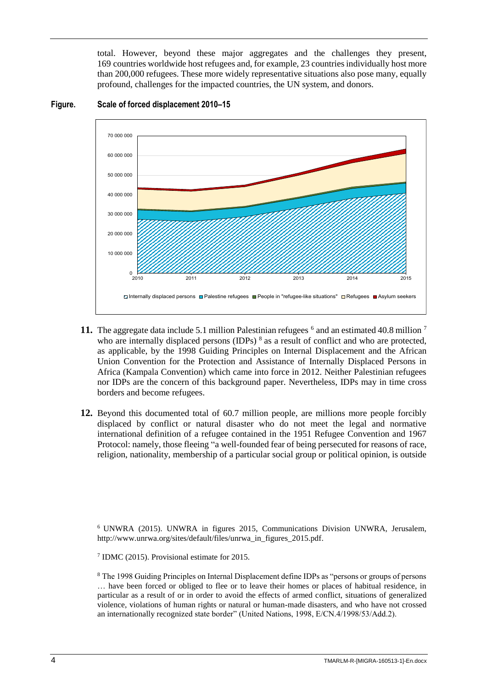total. However, beyond these major aggregates and the challenges they present, 169 countries worldwide host refugees and, for example, 23 countries individually host more than 200,000 refugees. These more widely representative situations also pose many, equally profound, challenges for the impacted countries, the UN system, and donors.



#### **Figure. Scale of forced displacement 2010–15**

- **11.** The aggregate data include 5.1 million Palestinian refugees  $\delta$  and an estimated 40.8 million  $\delta$ who are internally displaced persons (IDPs)<sup>8</sup> as a result of conflict and who are protected, as applicable, by the 1998 Guiding Principles on Internal Displacement and the African Union Convention for the Protection and Assistance of Internally Displaced Persons in Africa (Kampala Convention) which came into force in 2012. Neither Palestinian refugees nor IDPs are the concern of this background paper. Nevertheless, IDPs may in time cross borders and become refugees.
- **12.** Beyond this documented total of 60.7 million people, are millions more people forcibly displaced by conflict or natural disaster who do not meet the legal and normative international definition of a refugee contained in the 1951 Refugee Convention and 1967 Protocol: namely, those fleeing "a well-founded fear of being persecuted for reasons of race, religion, nationality, membership of a particular social group or political opinion, is outside

<sup>6</sup> UNWRA (2015). UNWRA in figures 2015, Communications Division UNWRA, Jerusalem, [http://www.unrwa.org/sites/default/files/unrwa\\_in\\_figures\\_2015.pdf.](http://www.unrwa.org/sites/default/files/unrwa_in_figures_2015.pdf)

7 IDMC (2015). Provisional estimate for 2015.

<sup>8</sup> The 1998 Guiding Principles on Internal Displacement define IDPs as "persons or groups of persons" … have been forced or obliged to flee or to leave their homes or places of habitual residence, in particular as a result of or in order to avoid the effects of armed conflict, situations of generalized violence, violations of human rights or natural or human-made disasters, and who have not crossed an internationally recognized state border" (United Nations, 1998, E/CN.4/1998/53/Add.2).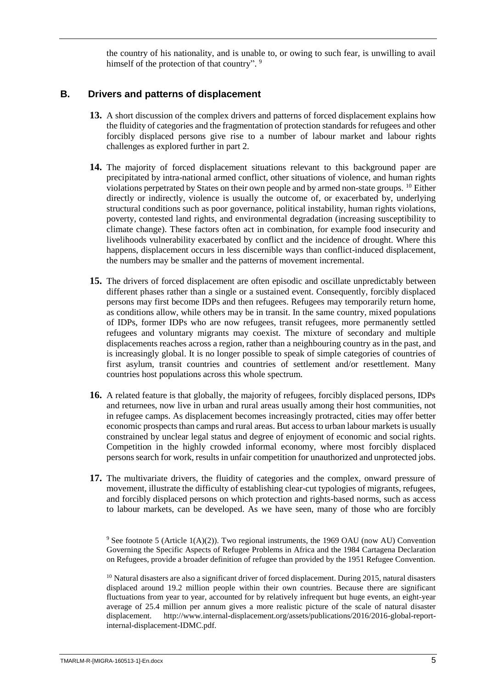the country of his nationality, and is unable to, or owing to such fear, is unwilling to avail himself of the protection of that country". <sup>9</sup>

#### <span id="page-10-0"></span>**B. Drivers and patterns of displacement**

- **13.** A short discussion of the complex drivers and patterns of forced displacement explains how the fluidity of categories and the fragmentation of protection standards for refugees and other forcibly displaced persons give rise to a number of labour market and labour rights challenges as explored further in part 2.
- **14.** The majority of forced displacement situations relevant to this background paper are precipitated by intra-national armed conflict, other situations of violence, and human rights violations perpetrated by States on their own people and by armed non-state groups. <sup>10</sup> Either directly or indirectly, violence is usually the outcome of, or exacerbated by, underlying structural conditions such as poor governance, political instability, human rights violations, poverty, contested land rights, and environmental degradation (increasing susceptibility to climate change). These factors often act in combination, for example food insecurity and livelihoods vulnerability exacerbated by conflict and the incidence of drought. Where this happens, displacement occurs in less discernible ways than conflict-induced displacement, the numbers may be smaller and the patterns of movement incremental.
- **15.** The drivers of forced displacement are often episodic and oscillate unpredictably between different phases rather than a single or a sustained event. Consequently, forcibly displaced persons may first become IDPs and then refugees. Refugees may temporarily return home, as conditions allow, while others may be in transit. In the same country, mixed populations of IDPs, former IDPs who are now refugees, transit refugees, more permanently settled refugees and voluntary migrants may coexist. The mixture of secondary and multiple displacements reaches across a region, rather than a neighbouring country as in the past, and is increasingly global. It is no longer possible to speak of simple categories of countries of first asylum, transit countries and countries of settlement and/or resettlement. Many countries host populations across this whole spectrum.
- **16.** A related feature is that globally, the majority of refugees, forcibly displaced persons, IDPs and returnees, now live in urban and rural areas usually among their host communities, not in refugee camps. As displacement becomes increasingly protracted, cities may offer better economic prospects than camps and rural areas. But access to urban labour markets is usually constrained by unclear legal status and degree of enjoyment of economic and social rights. Competition in the highly crowded informal economy, where most forcibly displaced persons search for work, results in unfair competition for unauthorized and unprotected jobs.
- **17.** The multivariate drivers, the fluidity of categories and the complex, onward pressure of movement, illustrate the difficulty of establishing clear-cut typologies of migrants, refugees, and forcibly displaced persons on which protection and rights-based norms, such as access to labour markets, can be developed. As we have seen, many of those who are forcibly

<sup>9</sup> See footnote 5 (Article 1(A)(2)). Two regional instruments, the 1969 OAU (now AU) Convention Governing the Specific Aspects of Refugee Problems in Africa and the 1984 Cartagena Declaration on Refugees, provide a broader definition of refugee than provided by the 1951 Refugee Convention.

 $10$  Natural disasters are also a significant driver of forced displacement. During 2015, natural disasters displaced around 19.2 million people within their own countries. Because there are significant fluctuations from year to year, accounted for by relatively infrequent but huge events, an eight-year average of 25.4 million per annum gives a more realistic picture of the scale of natural disaster displacement. [http://www.internal-displacement.org/assets/publications/2016/2016-global-report](http://www.internal-displacement.org/assets/publications/2016/2016-global-report-internal-displacement-IDMC.pdf)[internal-displacement-IDMC.pdf.](http://www.internal-displacement.org/assets/publications/2016/2016-global-report-internal-displacement-IDMC.pdf)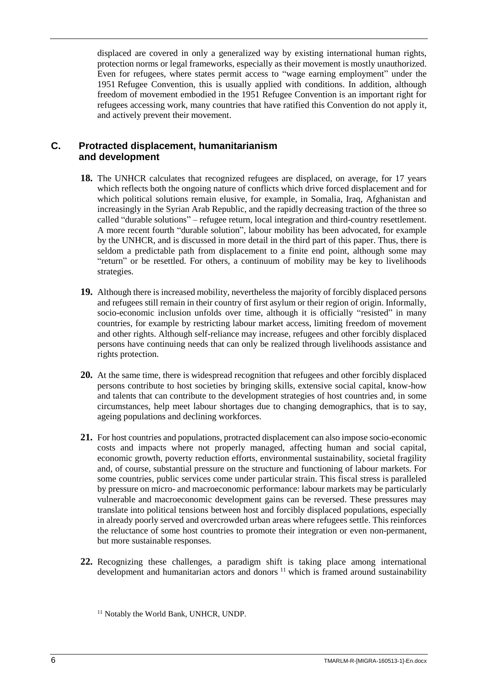displaced are covered in only a generalized way by existing international human rights, protection norms or legal frameworks, especially as their movement is mostly unauthorized. Even for refugees, where states permit access to "wage earning employment" under the 1951 Refugee Convention, this is usually applied with conditions. In addition, although freedom of movement embodied in the 1951 Refugee Convention is an important right for refugees accessing work, many countries that have ratified this Convention do not apply it, and actively prevent their movement.

#### <span id="page-11-0"></span>**C. Protracted displacement, humanitarianism and development**

- **18.** The UNHCR calculates that recognized refugees are displaced, on average, for 17 years which reflects both the ongoing nature of conflicts which drive forced displacement and for which political solutions remain elusive, for example, in Somalia, Iraq, Afghanistan and increasingly in the Syrian Arab Republic, and the rapidly decreasing traction of the three so called "durable solutions" – refugee return, local integration and third-country resettlement. A more recent fourth "durable solution", labour mobility has been advocated, for example by the UNHCR, and is discussed in more detail in the third part of this paper. Thus, there is seldom a predictable path from displacement to a finite end point, although some may "return" or be resettled. For others, a continuum of mobility may be key to livelihoods strategies.
- **19.** Although there is increased mobility, nevertheless the majority of forcibly displaced persons and refugees still remain in their country of first asylum or their region of origin. Informally, socio-economic inclusion unfolds over time, although it is officially "resisted" in many countries, for example by restricting labour market access, limiting freedom of movement and other rights. Although self-reliance may increase, refugees and other forcibly displaced persons have continuing needs that can only be realized through livelihoods assistance and rights protection.
- **20.** At the same time, there is widespread recognition that refugees and other forcibly displaced persons contribute to host societies by bringing skills, extensive social capital, know-how and talents that can contribute to the development strategies of host countries and, in some circumstances, help meet labour shortages due to changing demographics, that is to say, ageing populations and declining workforces.
- **21.** For host countries and populations, protracted displacement can also impose socio-economic costs and impacts where not properly managed, affecting human and social capital, economic growth, poverty reduction efforts, environmental sustainability, societal fragility and, of course, substantial pressure on the structure and functioning of labour markets. For some countries, public services come under particular strain. This fiscal stress is paralleled by pressure on micro- and macroeconomic performance: labour markets may be particularly vulnerable and macroeconomic development gains can be reversed. These pressures may translate into political tensions between host and forcibly displaced populations, especially in already poorly served and overcrowded urban areas where refugees settle. This reinforces the reluctance of some host countries to promote their integration or even non-permanent, but more sustainable responses.
- **22.** Recognizing these challenges, a paradigm shift is taking place among international development and humanitarian actors and donors<sup>11</sup> which is framed around sustainability

<sup>&</sup>lt;sup>11</sup> Notably the World Bank, UNHCR, UNDP.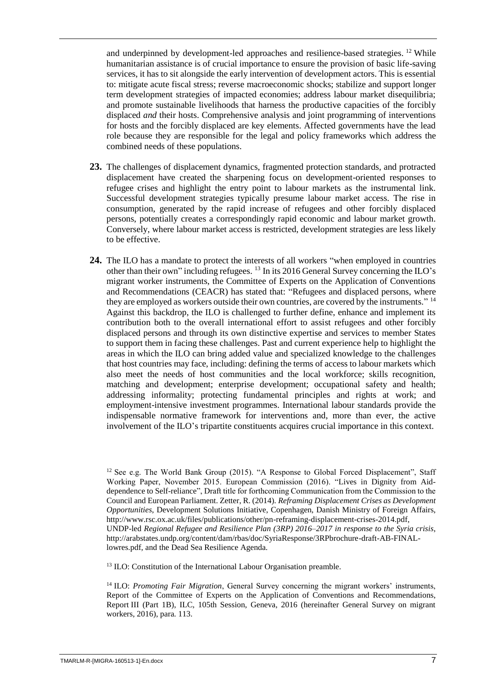and underpinned by development-led approaches and resilience-based strategies. <sup>12</sup> While humanitarian assistance is of crucial importance to ensure the provision of basic life-saving services, it has to sit alongside the early intervention of development actors. This is essential to: mitigate acute fiscal stress; reverse macroeconomic shocks; stabilize and support longer term development strategies of impacted economies; address labour market disequilibria; and promote sustainable livelihoods that harness the productive capacities of the forcibly displaced *and* their hosts. Comprehensive analysis and joint programming of interventions for hosts and the forcibly displaced are key elements. Affected governments have the lead role because they are responsible for the legal and policy frameworks which address the combined needs of these populations.

- **23.** The challenges of displacement dynamics, fragmented protection standards, and protracted displacement have created the sharpening focus on development-oriented responses to refugee crises and highlight the entry point to labour markets as the instrumental link. Successful development strategies typically presume labour market access. The rise in consumption, generated by the rapid increase of refugees and other forcibly displaced persons, potentially creates a correspondingly rapid economic and labour market growth. Conversely, where labour market access is restricted, development strategies are less likely to be effective.
- **24.** The ILO has a mandate to protect the interests of all workers "when employed in countries other than their own" including refugees. <sup>13</sup> In its 2016 General Survey concerning the ILO's migrant worker instruments, the Committee of Experts on the Application of Conventions and Recommendations (CEACR) has stated that: "Refugees and displaced persons, where they are employed as workers outside their own countries, are covered by the instruments." <sup>14</sup> Against this backdrop, the ILO is challenged to further define, enhance and implement its contribution both to the overall international effort to assist refugees and other forcibly displaced persons and through its own distinctive expertise and services to member States to support them in facing these challenges. Past and current experience help to highlight the areas in which the ILO can bring added value and specialized knowledge to the challenges that host countries may face, including: defining the terms of access to labour markets which also meet the needs of host communities and the local workforce; skills recognition, matching and development; enterprise development; occupational safety and health; addressing informality; protecting fundamental principles and rights at work; and employment-intensive investment programmes. International labour standards provide the indispensable normative framework for interventions and, more than ever, the active involvement of the ILO's tripartite constituents acquires crucial importance in this context.

<sup>13</sup> ILO: Constitution of the International Labour Organisation preamble.

<sup>14</sup> ILO: *Promoting Fair Migration*, General Survey concerning the migrant workers' instruments, Report of the Committee of Experts on the Application of Conventions and Recommendations, Report III (Part 1B), ILC, 105th Session, Geneva, 2016 (hereinafter General Survey on migrant workers, 2016), para. 113.

<sup>&</sup>lt;sup>12</sup> See e.g. The World Bank Group (2015). "A Response to Global Forced Displacement", Staff Working Paper, November 2015. European Commission (2016). "Lives in Dignity from Aiddependence to Self-reliance", Draft title for forthcoming Communication from the Commission to the Council and European Parliament. Zetter, R. (2014). *Reframing Displacement Crises as Development Opportunities*, Development Solutions Initiative, Copenhagen, Danish Ministry of Foreign Affairs, [http://www.rsc.ox.ac.uk/files/publications/other/pn-reframing-displacement-crises-2014.pdf,](http://www.rsc.ox.ac.uk/files/publications/other/pn-reframing-displacement-crises-2014.pdf)  UNDP-led *Regional Refugee and Resilience Plan (3RP) 2016–2017 in response to the Syria crisis*, [http://arabstates.undp.org/content/dam/rbas/doc/SyriaResponse/3RPbrochure-draft-AB-FINAL](http://arabstates.undp.org/content/dam/rbas/doc/SyriaResponse/3RPbrochure-draft-AB-FINAL-lowres.pdf)[lowres.pdf,](http://arabstates.undp.org/content/dam/rbas/doc/SyriaResponse/3RPbrochure-draft-AB-FINAL-lowres.pdf) and the Dead Sea Resilience Agenda.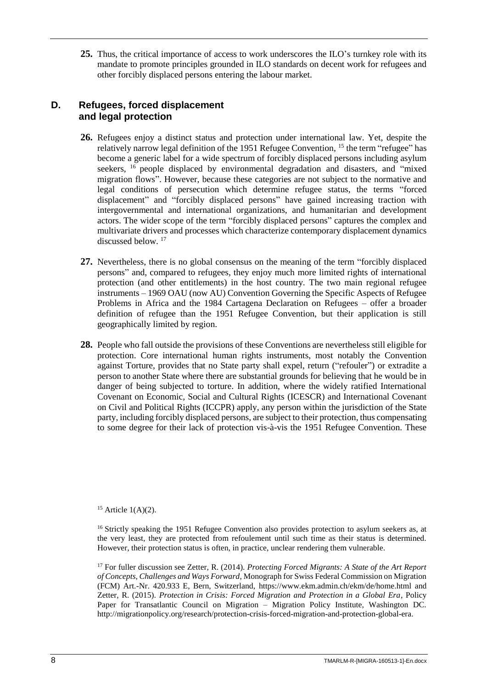**25.** Thus, the critical importance of access to work underscores the ILO's turnkey role with its mandate to promote principles grounded in ILO standards on decent work for refugees and other forcibly displaced persons entering the labour market.

#### <span id="page-13-0"></span>**D. Refugees, forced displacement and legal protection**

- **26.** Refugees enjoy a distinct status and protection under international law. Yet, despite the relatively narrow legal definition of the 1951 Refugee Convention, <sup>15</sup> the term "refugee" has become a generic label for a wide spectrum of forcibly displaced persons including asylum seekers, <sup>16</sup> people displaced by environmental degradation and disasters, and "mixed migration flows". However, because these categories are not subject to the normative and legal conditions of persecution which determine refugee status, the terms "forced displacement" and "forcibly displaced persons" have gained increasing traction with intergovernmental and international organizations, and humanitarian and development actors. The wider scope of the term "forcibly displaced persons" captures the complex and multivariate drivers and processes which characterize contemporary displacement dynamics discussed below. <sup>17</sup>
- **27.** Nevertheless, there is no global consensus on the meaning of the term "forcibly displaced persons" and, compared to refugees, they enjoy much more limited rights of international protection (and other entitlements) in the host country. The two main regional refugee instruments – 1969 OAU (now AU) Convention Governing the Specific Aspects of Refugee Problems in Africa and the 1984 Cartagena Declaration on Refugees – offer a broader definition of refugee than the 1951 Refugee Convention, but their application is still geographically limited by region.
- **28.** People who fall outside the provisions of these Conventions are nevertheless still eligible for protection. Core international human rights instruments, most notably the Convention against Torture, provides that no State party shall expel, return ("refouler") or extradite a person to another State where there are substantial grounds for believing that he would be in danger of being subjected to torture. In addition, where the widely ratified International Covenant on Economic, Social and Cultural Rights (ICESCR) and International Covenant on Civil and Political Rights (ICCPR) apply, any person within the jurisdiction of the State party, including forcibly displaced persons, are subject to their protection, thus compensating to some degree for their lack of protection vis-à-vis the 1951 Refugee Convention. These

<sup>15</sup> Article  $1(A)(2)$ .

<sup>16</sup> Strictly speaking the 1951 Refugee Convention also provides protection to asylum seekers as, at the very least, they are protected from refoulement until such time as their status is determined. However, their protection status is often, in practice, unclear rendering them vulnerable.

<sup>17</sup> For fuller discussion see Zetter, R. (2014). *Protecting Forced Migrants: A State of the Art Report of Concepts, Challenges and Ways Forward*, Monograph for Swiss Federal Commission on Migration (FCM) Art.-Nr. 420.933 E, Bern, Switzerland,<https://www.ekm.admin.ch/ekm/de/home.html> and Zetter, R. (2015). *Protection in Crisis: Forced Migration and Protection in a Global Era*, Policy Paper for Transatlantic Council on Migration – Migration Policy Institute, Washington DC. [http://migrationpolicy.org/research/protection-crisis-forced-migration-and-protection-global-era.](http://migrationpolicy.org/research/protection-crisis-forced-migration-and-protection-global-era)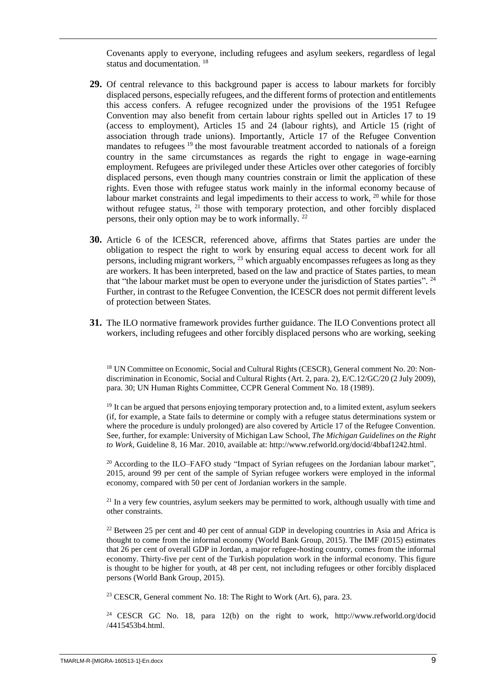Covenants apply to everyone, including refugees and asylum seekers, regardless of legal status and documentation. <sup>18</sup>

- **29.** Of central relevance to this background paper is access to labour markets for forcibly displaced persons, especially refugees, and the different forms of protection and entitlements this access confers. A refugee recognized under the provisions of the 1951 Refugee Convention may also benefit from certain labour rights spelled out in Articles 17 to 19 (access to employment), Articles 15 and 24 (labour rights), and Article 15 (right of association through trade unions). Importantly, Article 17 of the Refugee Convention mandates to refugees<sup>19</sup> the most favourable treatment accorded to nationals of a foreign country in the same circumstances as regards the right to engage in wage-earning employment. Refugees are privileged under these Articles over other categories of forcibly displaced persons, even though many countries constrain or limit the application of these rights. Even those with refugee status work mainly in the informal economy because of labour market constraints and legal impediments to their access to work, <sup>20</sup> while for those without refugee status,  $^{21}$  those with temporary protection, and other forcibly displaced persons, their only option may be to work informally. <sup>22</sup>
- **30.** Article 6 of the ICESCR, referenced above, affirms that States parties are under the obligation to respect the right to work by ensuring equal access to decent work for all persons, including migrant workers, <sup>23</sup> which arguably encompasses refugees as long as they are workers. It has been interpreted, based on the law and practice of States parties, to mean that "the labour market must be open to everyone under the jurisdiction of States parties". <sup>24</sup> Further, in contrast to the Refugee Convention, the ICESCR does not permit different levels of protection between States.
- **31.** The ILO normative framework provides further guidance. The ILO Conventions protect all workers, including refugees and other forcibly displaced persons who are working, seeking

<sup>18</sup> UN Committee on Economic, Social and Cultural Rights (CESCR), General comment No. 20: Nondiscrimination in Economic, Social and Cultural Rights (Art. 2, para. 2), E/C.12/GC/20 (2 July 2009), para. 30; UN Human Rights Committee, CCPR General Comment No. 18 (1989).

<sup>19</sup> It can be argued that persons enjoying temporary protection and, to a limited extent, asylum seekers (if, for example, a State fails to determine or comply with a refugee status determinations system or where the procedure is unduly prolonged) are also covered by Article 17 of the Refugee Convention. See, further, for example: University of Michigan Law School, *The Michigan Guidelines on the Right to Work*, Guideline 8, 16 Mar. 2010, available at: [http://www.refworld.org/docid/4bbaf1242.html.](http://www.refworld.org/docid/4bbaf1242.html)

<sup>20</sup> According to the ILO–FAFO study "Impact of Syrian refugees on the Jordanian labour market", 2015, around 99 per cent of the sample of Syrian refugee workers were employed in the informal economy, compared with 50 per cent of Jordanian workers in the sample.

<sup>21</sup> In a very few countries, asylum seekers may be permitted to work, although usually with time and other constraints.

<sup>22</sup> Between 25 per cent and 40 per cent of annual GDP in developing countries in Asia and Africa is thought to come from the informal economy (World Bank Group, 2015). The IMF (2015) estimates that 26 per cent of overall GDP in Jordan, a major refugee-hosting country, comes from the informal economy. Thirty-five per cent of the Turkish population work in the informal economy. This figure is thought to be higher for youth, at 48 per cent, not including refugees or other forcibly displaced persons (World Bank Group, 2015).

<sup>23</sup> CESCR, General comment No. 18: The Right to Work (Art. 6), para. 23.

<sup>24</sup> CESCR GC No. 18, para 12(b) on the right to work, [http://www.refworld.org/docid](http://www.refworld.org/docid/4415453b4.html) [/4415453b4.html.](http://www.refworld.org/docid/4415453b4.html)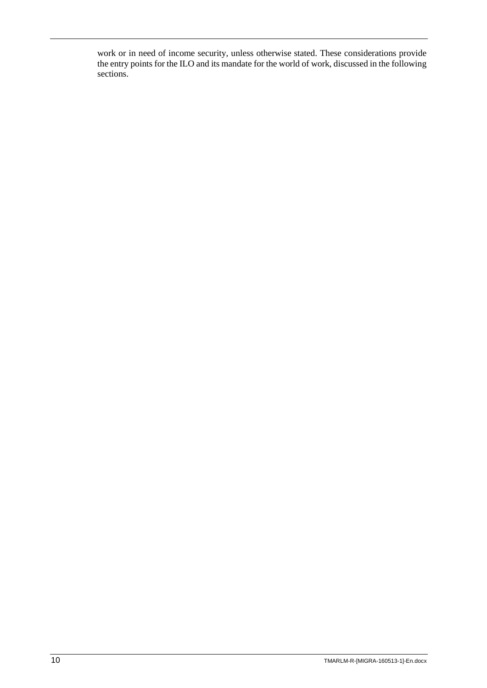work or in need of income security, unless otherwise stated. These considerations provide the entry points for the ILO and its mandate for the world of work, discussed in the following sections.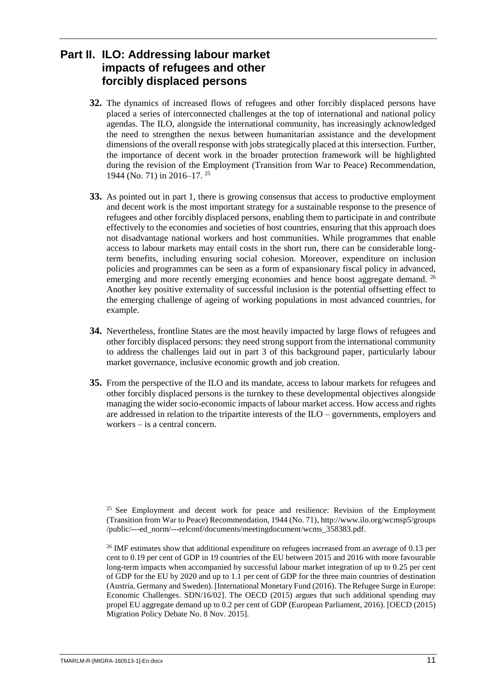## <span id="page-16-0"></span>**Part II. ILO: Addressing labour market impacts of refugees and other forcibly displaced persons**

- **32.** The dynamics of increased flows of refugees and other forcibly displaced persons have placed a series of interconnected challenges at the top of international and national policy agendas. The ILO, alongside the international community, has increasingly acknowledged the need to strengthen the nexus between humanitarian assistance and the development dimensions of the overall response with jobs strategically placed at this intersection. Further, the importance of decent work in the broader protection framework will be highlighted during the revision of the Employment (Transition from War to Peace) Recommendation, 1944 (No. 71) in 2016–17. <sup>25</sup>
- **33.** As pointed out in part 1, there is growing consensus that access to productive employment and decent work is the most important strategy for a sustainable response to the presence of refugees and other forcibly displaced persons, enabling them to participate in and contribute effectively to the economies and societies of host countries, ensuring that this approach does not disadvantage national workers and host communities. While programmes that enable access to labour markets may entail costs in the short run, there can be considerable longterm benefits, including ensuring social cohesion. Moreover, expenditure on inclusion policies and programmes can be seen as a form of expansionary fiscal policy in advanced, emerging and more recently emerging economies and hence boost aggregate demand. <sup>26</sup> Another key positive externality of successful inclusion is the potential offsetting effect to the emerging challenge of ageing of working populations in most advanced countries, for example.
- **34.** Nevertheless, frontline States are the most heavily impacted by large flows of refugees and other forcibly displaced persons: they need strong support from the international community to address the challenges laid out in part 3 of this background paper, particularly labour market governance, inclusive economic growth and job creation.
- **35.** From the perspective of the ILO and its mandate, access to labour markets for refugees and other forcibly displaced persons is the turnkey to these developmental objectives alongside managing the wider socio-economic impacts of labour market access. How access and rights are addressed in relation to the tripartite interests of the ILO – governments, employers and workers – is a central concern.

<sup>&</sup>lt;sup>25</sup> See Employment and decent work for peace and resilience: Revision of the Employment (Transition from War to Peace) Recommendation, 1944 (No. 71), [http://www.ilo.org/wcmsp5/groups](http://www.ilo.org/wcmsp5/groups/public/---ed_norm/---relconf/documents/meetingdocument/wcms_358383.pdf) [/public/---ed\\_norm/---relconf/documents/meetingdocument/wcms\\_358383.pdf.](http://www.ilo.org/wcmsp5/groups/public/---ed_norm/---relconf/documents/meetingdocument/wcms_358383.pdf)

<sup>&</sup>lt;sup>26</sup> IMF estimates show that additional expenditure on refugees increased from an average of 0.13 per cent to 0.19 per cent of GDP in 19 countries of the EU between 2015 and 2016 with more favourable long-term impacts when accompanied by successful labour market integration of up to 0.25 per cent of GDP for the EU by 2020 and up to 1.1 per cent of GDP for the three main countries of destination (Austria, Germany and Sweden). [International Monetary Fund (2016). The Refugee Surge in Europe: Economic Challenges. SDN/16/02]. The OECD (2015) argues that such additional spending may propel EU aggregate demand up to 0.2 per cent of GDP (European Parliament, 2016). [OECD (2015) Migration Policy Debate No. 8 Nov. 2015].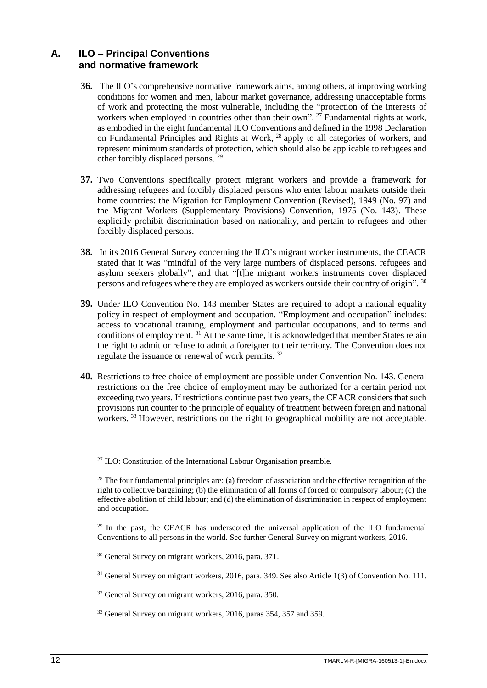### <span id="page-17-0"></span>**A. ILO – Principal Conventions and normative framework**

- **36.** The ILO's comprehensive normative framework aims, among others, at improving working conditions for women and men, labour market governance, addressing unacceptable forms of work and protecting the most vulnerable, including the "protection of the interests of workers when employed in countries other than their own".<sup>27</sup> Fundamental rights at work, as embodied in the eight fundamental ILO Conventions and defined in the 1998 Declaration on Fundamental Principles and Rights at Work, <sup>28</sup> apply to all categories of workers, and represent minimum standards of protection, which should also be applicable to refugees and other forcibly displaced persons.<sup>29</sup>
- **37.** Two Conventions specifically protect migrant workers and provide a framework for addressing refugees and forcibly displaced persons who enter labour markets outside their home countries: the Migration for Employment Convention (Revised), 1949 (No. 97) and the Migrant Workers (Supplementary Provisions) Convention, 1975 (No. 143). These explicitly prohibit discrimination based on nationality, and pertain to refugees and other forcibly displaced persons.
- **38.** In its 2016 General Survey concerning the ILO's migrant worker instruments, the CEACR stated that it was "mindful of the very large numbers of displaced persons, refugees and asylum seekers globally", and that "[t]he migrant workers instruments cover displaced persons and refugees where they are employed as workers outside their country of origin". 30
- **39.** Under ILO Convention No. 143 member States are required to adopt a national equality policy in respect of employment and occupation. "Employment and occupation" includes: access to vocational training, employment and particular occupations, and to terms and conditions of employment.<sup>31</sup> At the same time, it is acknowledged that member States retain the right to admit or refuse to admit a foreigner to their territory. The Convention does not regulate the issuance or renewal of work permits. <sup>32</sup>
- **40.** Restrictions to free choice of employment are possible under Convention No. 143. General restrictions on the free choice of employment may be authorized for a certain period not exceeding two years. If restrictions continue past two years, the CEACR considers that such provisions run counter to the principle of equality of treatment between foreign and national workers.<sup>33</sup> However, restrictions on the right to geographical mobility are not acceptable.

 $^{27}$  ILO: Constitution of the International Labour Organisation preamble.

<sup>28</sup> The four fundamental principles are: (a) freedom of association and the effective recognition of the right to collective bargaining; (b) the elimination of all forms of forced or compulsory labour; (c) the effective abolition of child labour; and (d) the elimination of discrimination in respect of employment and occupation.

 $^{29}$  In the past, the CEACR has underscored the universal application of the ILO fundamental Conventions to all persons in the world. See further General Survey on migrant workers, 2016.

<sup>30</sup> General Survey on migrant workers, 2016, para. 371.

<sup>31</sup> General Survey on migrant workers, 2016, para. 349. See also Article 1(3) of Convention No. 111.

<sup>32</sup> General Survey on migrant workers, 2016, para. 350.

<sup>33</sup> General Survey on migrant workers, 2016, paras 354, 357 and 359.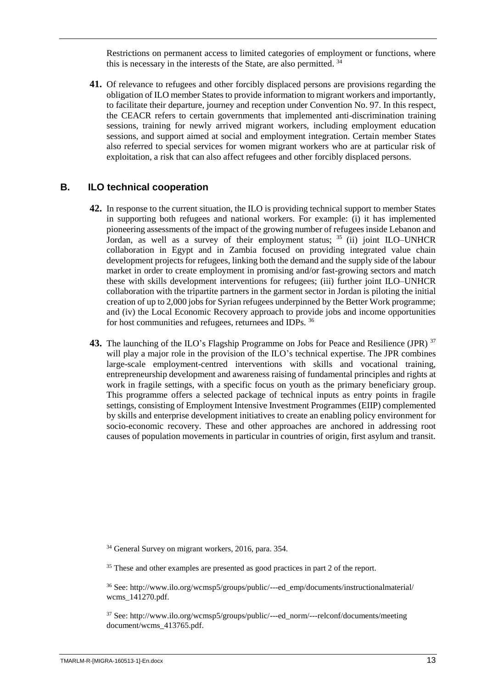Restrictions on permanent access to limited categories of employment or functions, where this is necessary in the interests of the State, are also permitted. <sup>34</sup>

**41.** Of relevance to refugees and other forcibly displaced persons are provisions regarding the obligation of ILO member States to provide information to migrant workers and importantly, to facilitate their departure, journey and reception under Convention No. 97. In this respect, the CEACR refers to certain governments that implemented anti-discrimination training sessions, training for newly arrived migrant workers, including employment education sessions, and support aimed at social and employment integration. Certain member States also referred to special services for women migrant workers who are at particular risk of exploitation, a risk that can also affect refugees and other forcibly displaced persons.

#### <span id="page-18-0"></span>**B. ILO technical cooperation**

- **42.** In response to the current situation, the ILO is providing technical support to member States in supporting both refugees and national workers. For example: (i) it has implemented pioneering assessments of the impact of the growing number of refugees inside Lebanon and Jordan, as well as a survey of their employment status;  $35$  (ii) joint ILO–UNHCR collaboration in Egypt and in Zambia focused on providing integrated value chain development projects for refugees, linking both the demand and the supply side of the labour market in order to create employment in promising and/or fast-growing sectors and match these with skills development interventions for refugees; (iii) further joint ILO–UNHCR collaboration with the tripartite partners in the garment sector in Jordan is piloting the initial creation of up to 2,000 jobs for Syrian refugees underpinned by the Better Work programme; and (iv) the Local Economic Recovery approach to provide jobs and income opportunities for host communities and refugees, returnees and IDPs. <sup>36</sup>
- **43.** The launching of the ILO's Flagship Programme on Jobs for Peace and Resilience (JPR) <sup>37</sup> will play a major role in the provision of the ILO's technical expertise. The JPR combines large-scale employment-centred interventions with skills and vocational training, entrepreneurship development and awareness raising of fundamental principles and rights at work in fragile settings, with a specific focus on youth as the primary beneficiary group. This programme offers a selected package of technical inputs as entry points in fragile settings, consisting of Employment Intensive Investment Programmes (EIIP) complemented by skills and enterprise development initiatives to create an enabling policy environment for socio-economic recovery. These and other approaches are anchored in addressing root causes of population movements in particular in countries of origin, first asylum and transit.

<sup>34</sup> General Survey on migrant workers, 2016, para. 354.

<sup>35</sup> These and other examples are presented as good practices in part 2 of the report.

<sup>36</sup> See: [http://www.ilo.org/wcmsp5/groups/public/---ed\\_emp/documents/instructionalmaterial/](http://www.ilo.org/wcmsp5/groups/public/---ed_emp/documents/instructionalmaterial/wcms_141270.pdf) [wcms\\_141270.pdf.](http://www.ilo.org/wcmsp5/groups/public/---ed_emp/documents/instructionalmaterial/wcms_141270.pdf)

<sup>37</sup> See: [http://www.ilo.org/wcmsp5/groups/public/---ed\\_norm/---relconf/documents/meeting](http://www.ilo.org/wcmsp5/groups/public/---ed_norm/---relconf/documents/meetingdocument/wcms_413765.pdf) document/wcms 413765.pdf.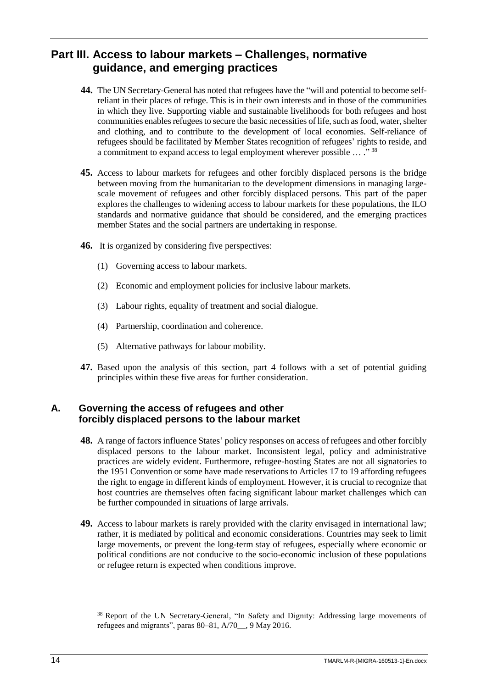### <span id="page-19-0"></span>**Part III. Access to labour markets – Challenges, normative guidance, and emerging practices**

- **44.** The UN Secretary-General has noted that refugees have the "will and potential to become selfreliant in their places of refuge. This is in their own interests and in those of the communities in which they live. Supporting viable and sustainable livelihoods for both refugees and host communities enables refugees to secure the basic necessities of life, such as food, water, shelter and clothing, and to contribute to the development of local economies. Self-reliance of refugees should be facilitated by Member States recognition of refugees' rights to reside, and a commitment to expand access to legal employment wherever possible  $\ldots$ ." 38
- **45.** Access to labour markets for refugees and other forcibly displaced persons is the bridge between moving from the humanitarian to the development dimensions in managing largescale movement of refugees and other forcibly displaced persons. This part of the paper explores the challenges to widening access to labour markets for these populations, the ILO standards and normative guidance that should be considered, and the emerging practices member States and the social partners are undertaking in response.
- **46.** It is organized by considering five perspectives:
	- (1) Governing access to labour markets.
	- (2) Economic and employment policies for inclusive labour markets.
	- (3) Labour rights, equality of treatment and social dialogue.
	- (4) Partnership, coordination and coherence.
	- (5) Alternative pathways for labour mobility.
- **47.** Based upon the analysis of this section, part 4 follows with a set of potential guiding principles within these five areas for further consideration.

#### <span id="page-19-1"></span>**A. Governing the access of refugees and other forcibly displaced persons to the labour market**

- **48.** A range of factors influence States' policy responses on access of refugees and other forcibly displaced persons to the labour market. Inconsistent legal, policy and administrative practices are widely evident. Furthermore, refugee-hosting States are not all signatories to the 1951 Convention or some have made reservations to Articles 17 to 19 affording refugees the right to engage in different kinds of employment. However, it is crucial to recognize that host countries are themselves often facing significant labour market challenges which can be further compounded in situations of large arrivals.
- **49.** Access to labour markets is rarely provided with the clarity envisaged in international law; rather, it is mediated by political and economic considerations. Countries may seek to limit large movements, or prevent the long-term stay of refugees, especially where economic or political conditions are not conducive to the socio-economic inclusion of these populations or refugee return is expected when conditions improve.

<sup>&</sup>lt;sup>38</sup> Report of the UN Secretary-General, "In Safety and Dignity: Addressing large movements of refugees and migrants", paras 80–81, A/70\_\_, 9 May 2016.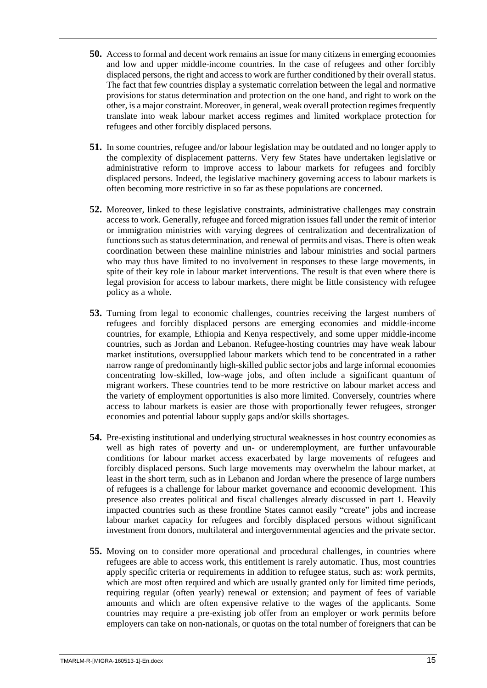- **50.** Access to formal and decent work remains an issue for many citizens in emerging economies and low and upper middle-income countries. In the case of refugees and other forcibly displaced persons, the right and access to work are further conditioned by their overall status. The fact that few countries display a systematic correlation between the legal and normative provisions for status determination and protection on the one hand, and right to work on the other, is a major constraint. Moreover, in general, weak overall protection regimes frequently translate into weak labour market access regimes and limited workplace protection for refugees and other forcibly displaced persons.
- **51.** In some countries, refugee and/or labour legislation may be outdated and no longer apply to the complexity of displacement patterns. Very few States have undertaken legislative or administrative reform to improve access to labour markets for refugees and forcibly displaced persons. Indeed, the legislative machinery governing access to labour markets is often becoming more restrictive in so far as these populations are concerned.
- **52.** Moreover, linked to these legislative constraints, administrative challenges may constrain access to work. Generally, refugee and forced migration issues fall under the remit of interior or immigration ministries with varying degrees of centralization and decentralization of functions such as status determination, and renewal of permits and visas. There is often weak coordination between these mainline ministries and labour ministries and social partners who may thus have limited to no involvement in responses to these large movements, in spite of their key role in labour market interventions. The result is that even where there is legal provision for access to labour markets, there might be little consistency with refugee policy as a whole.
- **53.** Turning from legal to economic challenges, countries receiving the largest numbers of refugees and forcibly displaced persons are emerging economies and middle-income countries, for example, Ethiopia and Kenya respectively, and some upper middle-income countries, such as Jordan and Lebanon. Refugee-hosting countries may have weak labour market institutions, oversupplied labour markets which tend to be concentrated in a rather narrow range of predominantly high-skilled public sector jobs and large informal economies concentrating low-skilled, low-wage jobs, and often include a significant quantum of migrant workers. These countries tend to be more restrictive on labour market access and the variety of employment opportunities is also more limited. Conversely, countries where access to labour markets is easier are those with proportionally fewer refugees, stronger economies and potential labour supply gaps and/or skills shortages.
- **54.** Pre-existing institutional and underlying structural weaknesses in host country economies as well as high rates of poverty and un- or underemployment, are further unfavourable conditions for labour market access exacerbated by large movements of refugees and forcibly displaced persons. Such large movements may overwhelm the labour market, at least in the short term, such as in Lebanon and Jordan where the presence of large numbers of refugees is a challenge for labour market governance and economic development. This presence also creates political and fiscal challenges already discussed in part 1. Heavily impacted countries such as these frontline States cannot easily "create" jobs and increase labour market capacity for refugees and forcibly displaced persons without significant investment from donors, multilateral and intergovernmental agencies and the private sector.
- **55.** Moving on to consider more operational and procedural challenges, in countries where refugees are able to access work, this entitlement is rarely automatic. Thus, most countries apply specific criteria or requirements in addition to refugee status, such as: work permits, which are most often required and which are usually granted only for limited time periods, requiring regular (often yearly) renewal or extension; and payment of fees of variable amounts and which are often expensive relative to the wages of the applicants. Some countries may require a pre-existing job offer from an employer or work permits before employers can take on non-nationals, or quotas on the total number of foreigners that can be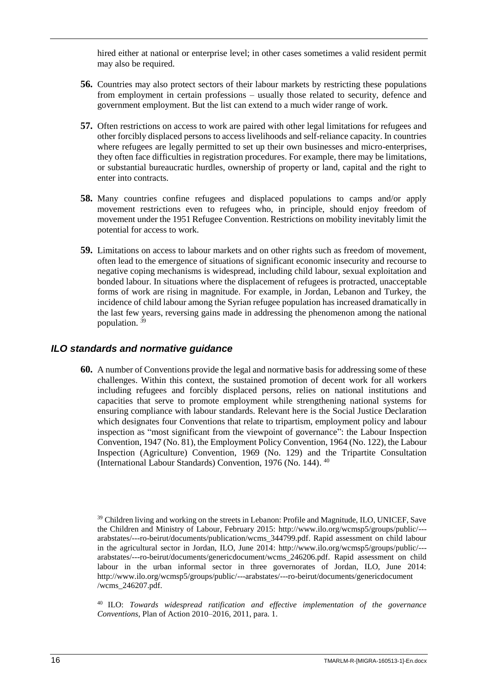hired either at national or enterprise level; in other cases sometimes a valid resident permit may also be required.

- **56.** Countries may also protect sectors of their labour markets by restricting these populations from employment in certain professions – usually those related to security, defence and government employment. But the list can extend to a much wider range of work.
- **57.** Often restrictions on access to work are paired with other legal limitations for refugees and other forcibly displaced persons to access livelihoods and self-reliance capacity. In countries where refugees are legally permitted to set up their own businesses and micro-enterprises, they often face difficulties in registration procedures. For example, there may be limitations, or substantial bureaucratic hurdles, ownership of property or land, capital and the right to enter into contracts.
- **58.** Many countries confine refugees and displaced populations to camps and/or apply movement restrictions even to refugees who, in principle, should enjoy freedom of movement under the 1951 Refugee Convention. Restrictions on mobility inevitably limit the potential for access to work.
- **59.** Limitations on access to labour markets and on other rights such as freedom of movement, often lead to the emergence of situations of significant economic insecurity and recourse to negative coping mechanisms is widespread, including child labour, sexual exploitation and bonded labour. In situations where the displacement of refugees is protracted, unacceptable forms of work are rising in magnitude. For example, in Jordan, Lebanon and Turkey, the incidence of child labour among the Syrian refugee population has increased dramatically in the last few years, reversing gains made in addressing the phenomenon among the national population. <sup>39</sup>

#### <span id="page-21-0"></span>*ILO standards and normative guidance*

**60.** A number of Conventions provide the legal and normative basis for addressing some of these challenges. Within this context, the sustained promotion of decent work for all workers including refugees and forcibly displaced persons, relies on national institutions and capacities that serve to promote employment while strengthening national systems for ensuring compliance with labour standards. Relevant here is the Social Justice Declaration which designates four Conventions that relate to tripartism, employment policy and labour inspection as "most significant from the viewpoint of governance": the Labour Inspection Convention, 1947 (No. 81), the Employment Policy Convention, 1964 (No. 122), the Labour Inspection (Agriculture) Convention, 1969 (No. 129) and the Tripartite Consultation (International Labour Standards) Convention, 1976 (No. 144). 40

<sup>40</sup> ILO: *Towards widespread ratification and effective implementation of the governance Conventions*, Plan of Action 2010–2016, 2011, para. 1.

<sup>&</sup>lt;sup>39</sup> Children living and working on the streets in Lebanon: Profile and Magnitude, ILO, UNICEF, Save the Children and Ministry of Labour, February 2015: [http://www.ilo.org/wcmsp5/groups/public/--](http://www.ilo.org/wcmsp5/groups/public/---arabstates/---ro-beirut/documents/publication/wcms_344799.pdf) [arabstates/---ro-beirut/documents/publication/wcms\\_344799.pdf.](http://www.ilo.org/wcmsp5/groups/public/---arabstates/---ro-beirut/documents/publication/wcms_344799.pdf) Rapid assessment on child labour in the agricultural sector in Jordan, ILO, June 2014: [http://www.ilo.org/wcmsp5/groups/public/--](http://www.ilo.org/wcmsp5/groups/public/---arabstates/---ro-beirut/documents/genericdocument/wcms_246206.pdf) [arabstates/---ro-beirut/documents/genericdocument/wcms\\_246206.pdf.](http://www.ilo.org/wcmsp5/groups/public/---arabstates/---ro-beirut/documents/genericdocument/wcms_246206.pdf) Rapid assessment on child labour in the urban informal sector in three governorates of Jordan, ILO, June 2014: [http://www.ilo.org/wcmsp5/groups/public/---arabstates/---ro-beirut/documents/genericdocument](http://www.ilo.org/wcmsp5/groups/public/---arabstates/---ro-beirut/documents/genericdocument/wcms_246207.pdf) [/wcms\\_246207.pdf.](http://www.ilo.org/wcmsp5/groups/public/---arabstates/---ro-beirut/documents/genericdocument/wcms_246207.pdf)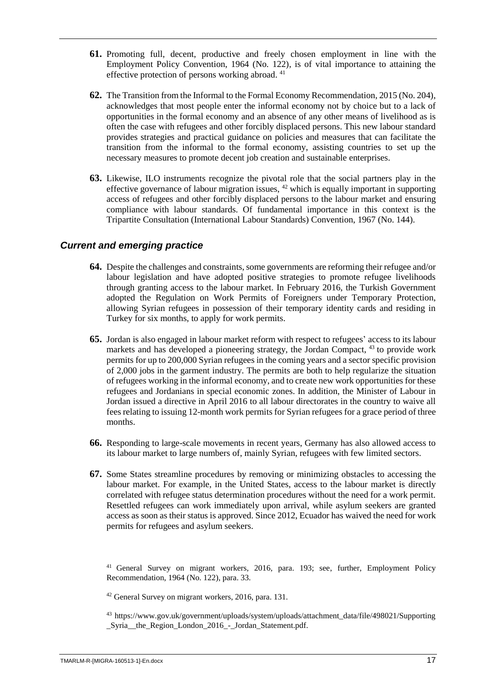- **61.** Promoting full, decent, productive and freely chosen employment in line with the Employment Policy Convention, 1964 (No. 122), is of vital importance to attaining the effective protection of persons working abroad. <sup>41</sup>
- **62.** The Transition from the Informal to the Formal Economy Recommendation, 2015 (No. 204), acknowledges that most people enter the informal economy not by choice but to a lack of opportunities in the formal economy and an absence of any other means of livelihood as is often the case with refugees and other forcibly displaced persons. This new labour standard provides strategies and practical guidance on policies and measures that can facilitate the transition from the informal to the formal economy, assisting countries to set up the necessary measures to promote decent job creation and sustainable enterprises.
- **63.** Likewise, ILO instruments recognize the pivotal role that the social partners play in the effective governance of labour migration issues,  $42$  which is equally important in supporting access of refugees and other forcibly displaced persons to the labour market and ensuring compliance with labour standards. Of fundamental importance in this context is the Tripartite Consultation (International Labour Standards) Convention, 1967 (No. 144).

#### <span id="page-22-0"></span>*Current and emerging practice*

- **64.** Despite the challenges and constraints, some governments are reforming their refugee and/or labour legislation and have adopted positive strategies to promote refugee livelihoods through granting access to the labour market. In February 2016, the Turkish Government adopted the Regulation on Work Permits of Foreigners under Temporary Protection, allowing Syrian refugees in possession of their temporary identity cards and residing in Turkey for six months, to apply for work permits.
- **65.** Jordan is also engaged in labour market reform with respect to refugees' access to its labour markets and has developed a pioneering strategy, the Jordan Compact, <sup>43</sup> to provide work permits for up to 200,000 Syrian refugees in the coming years and a sector specific provision of 2,000 jobs in the garment industry. The permits are both to help regularize the situation of refugees working in the informal economy, and to create new work opportunities for these refugees and Jordanians in special economic zones. In addition, the Minister of Labour in Jordan issued a directive in April 2016 to all labour directorates in the country to waive all fees relating to issuing 12-month work permits for Syrian refugees for a grace period of three months.
- **66.** Responding to large-scale movements in recent years, Germany has also allowed access to its labour market to large numbers of, mainly Syrian, refugees with few limited sectors.
- **67.** Some States streamline procedures by removing or minimizing obstacles to accessing the labour market. For example, in the United States, access to the labour market is directly correlated with refugee status determination procedures without the need for a work permit. Resettled refugees can work immediately upon arrival, while asylum seekers are granted access as soon as their status is approved. Since 2012, Ecuador has waived the need for work permits for refugees and asylum seekers.

<sup>41</sup> General Survey on migrant workers, 2016, para. 193; see, further, Employment Policy Recommendation, 1964 (No. 122), para. 33.

<sup>42</sup> General Survey on migrant workers, 2016, para. 131.

<sup>43</sup> [https://www.gov.uk/government/uploads/system/uploads/attachment\\_data/file/498021/Supporting](https://www.gov.uk/government/uploads/system/uploads/attachment_data/file/498021/Supporting_Syria__the_Region_London_2016_-_Jordan_Statement.pdf) [\\_Syria\\_\\_the\\_Region\\_London\\_2016\\_-\\_Jordan\\_Statement.pdf.](https://www.gov.uk/government/uploads/system/uploads/attachment_data/file/498021/Supporting_Syria__the_Region_London_2016_-_Jordan_Statement.pdf)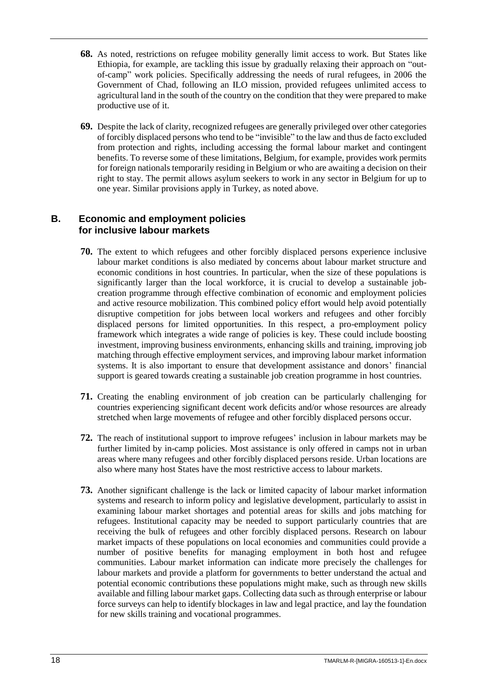- **68.** As noted, restrictions on refugee mobility generally limit access to work. But States like Ethiopia, for example, are tackling this issue by gradually relaxing their approach on "outof-camp" work policies. Specifically addressing the needs of rural refugees, in 2006 the Government of Chad, following an ILO mission, provided refugees unlimited access to agricultural land in the south of the country on the condition that they were prepared to make productive use of it.
- **69.** Despite the lack of clarity, recognized refugees are generally privileged over other categories of forcibly displaced persons who tend to be "invisible" to the law and thus de facto excluded from protection and rights, including accessing the formal labour market and contingent benefits. To reverse some of these limitations, Belgium, for example, provides work permits for foreign nationals temporarily residing in Belgium or who are awaiting a decision on their right to stay. The permit allows asylum seekers to work in any sector in Belgium for up to one year. Similar provisions apply in Turkey, as noted above.

#### <span id="page-23-0"></span>**B. Economic and employment policies for inclusive labour markets**

- **70.** The extent to which refugees and other forcibly displaced persons experience inclusive labour market conditions is also mediated by concerns about labour market structure and economic conditions in host countries. In particular, when the size of these populations is significantly larger than the local workforce, it is crucial to develop a sustainable jobcreation programme through effective combination of economic and employment policies and active resource mobilization. This combined policy effort would help avoid potentially disruptive competition for jobs between local workers and refugees and other forcibly displaced persons for limited opportunities. In this respect, a pro-employment policy framework which integrates a wide range of policies is key. These could include boosting investment, improving business environments, enhancing skills and training, improving job matching through effective employment services, and improving labour market information systems. It is also important to ensure that development assistance and donors' financial support is geared towards creating a sustainable job creation programme in host countries.
- **71.** Creating the enabling environment of job creation can be particularly challenging for countries experiencing significant decent work deficits and/or whose resources are already stretched when large movements of refugee and other forcibly displaced persons occur.
- **72.** The reach of institutional support to improve refugees' inclusion in labour markets may be further limited by in-camp policies. Most assistance is only offered in camps not in urban areas where many refugees and other forcibly displaced persons reside. Urban locations are also where many host States have the most restrictive access to labour markets.
- **73.** Another significant challenge is the lack or limited capacity of labour market information systems and research to inform policy and legislative development, particularly to assist in examining labour market shortages and potential areas for skills and jobs matching for refugees. Institutional capacity may be needed to support particularly countries that are receiving the bulk of refugees and other forcibly displaced persons. Research on labour market impacts of these populations on local economies and communities could provide a number of positive benefits for managing employment in both host and refugee communities. Labour market information can indicate more precisely the challenges for labour markets and provide a platform for governments to better understand the actual and potential economic contributions these populations might make, such as through new skills available and filling labour market gaps. Collecting data such as through enterprise or labour force surveys can help to identify blockages in law and legal practice, and lay the foundation for new skills training and vocational programmes.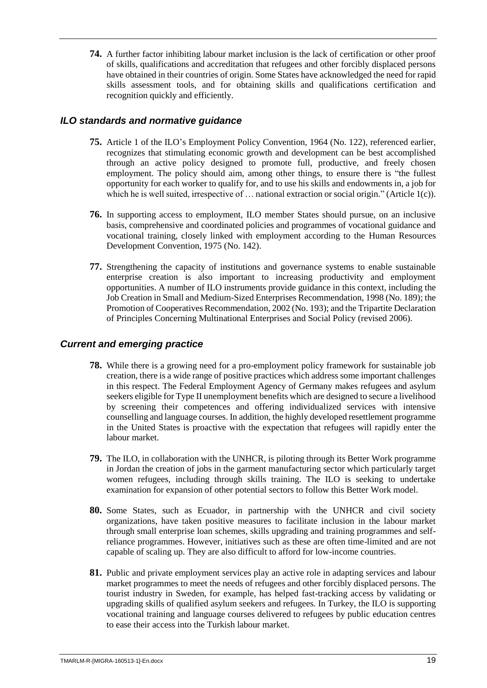**74.** A further factor inhibiting labour market inclusion is the lack of certification or other proof of skills, qualifications and accreditation that refugees and other forcibly displaced persons have obtained in their countries of origin. Some States have acknowledged the need for rapid skills assessment tools, and for obtaining skills and qualifications certification and recognition quickly and efficiently.

### <span id="page-24-0"></span>*ILO standards and normative guidance*

- **75.** Article 1 of the ILO's Employment Policy Convention, 1964 (No. 122), referenced earlier, recognizes that stimulating economic growth and development can be best accomplished through an active policy designed to promote full, productive, and freely chosen employment. The policy should aim, among other things, to ensure there is "the fullest opportunity for each worker to qualify for, and to use his skills and endowments in, a job for which he is well suited, irrespective of ... national extraction or social origin." (Article 1(c)).
- **76.** In supporting access to employment, ILO member States should pursue, on an inclusive basis, comprehensive and coordinated policies and programmes of vocational guidance and vocational training, closely linked with employment according to the Human Resources Development Convention, 1975 (No. 142).
- **77.** Strengthening the capacity of institutions and governance systems to enable sustainable enterprise creation is also important to increasing productivity and employment opportunities. A number of ILO instruments provide guidance in this context, including the Job Creation in Small and Medium-Sized Enterprises Recommendation, 1998 (No. 189); the Promotion of Cooperatives Recommendation, 2002 (No. 193); and the Tripartite Declaration of Principles Concerning Multinational Enterprises and Social Policy (revised 2006).

#### <span id="page-24-1"></span>*Current and emerging practice*

- **78.** While there is a growing need for a pro-employment policy framework for sustainable job creation, there is a wide range of positive practices which address some important challenges in this respect. The Federal Employment Agency of Germany makes refugees and asylum seekers eligible for Type II unemployment benefits which are designed to secure a livelihood by screening their competences and offering individualized services with intensive counselling and language courses. In addition, the highly developed resettlement programme in the United States is proactive with the expectation that refugees will rapidly enter the labour market.
- **79.** The ILO, in collaboration with the UNHCR, is piloting through its Better Work programme in Jordan the creation of jobs in the garment manufacturing sector which particularly target women refugees, including through skills training. The ILO is seeking to undertake examination for expansion of other potential sectors to follow this Better Work model.
- **80.** Some States, such as Ecuador, in partnership with the UNHCR and civil society organizations, have taken positive measures to facilitate inclusion in the labour market through small enterprise loan schemes, skills upgrading and training programmes and selfreliance programmes. However, initiatives such as these are often time-limited and are not capable of scaling up. They are also difficult to afford for low-income countries.
- **81.** Public and private employment services play an active role in adapting services and labour market programmes to meet the needs of refugees and other forcibly displaced persons. The tourist industry in Sweden, for example, has helped fast-tracking access by validating or upgrading skills of qualified asylum seekers and refugees. In Turkey, the ILO is supporting vocational training and language courses delivered to refugees by public education centres to ease their access into the Turkish labour market.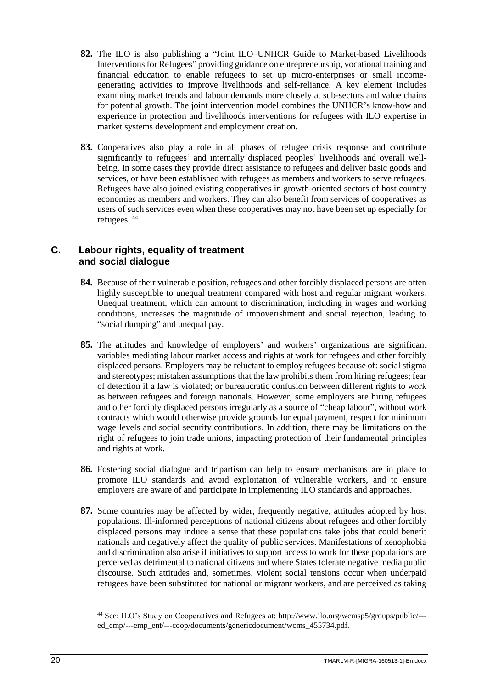- **82.** The ILO is also publishing a "Joint ILO–UNHCR Guide to Market-based Livelihoods Interventions for Refugees" providing guidance on entrepreneurship, vocational training and financial education to enable refugees to set up micro-enterprises or small incomegenerating activities to improve livelihoods and self-reliance. A key element includes examining market trends and labour demands more closely at sub-sectors and value chains for potential growth. The joint intervention model combines the UNHCR's know-how and experience in protection and livelihoods interventions for refugees with ILO expertise in market systems development and employment creation.
- **83.** Cooperatives also play a role in all phases of refugee crisis response and contribute significantly to refugees' and internally displaced peoples' livelihoods and overall wellbeing. In some cases they provide direct assistance to refugees and deliver basic goods and services, or have been established with refugees as members and workers to serve refugees. Refugees have also joined existing cooperatives in growth-oriented sectors of host country economies as members and workers. They can also benefit from services of cooperatives as users of such services even when these cooperatives may not have been set up especially for refugees. <sup>44</sup>

#### <span id="page-25-0"></span>**C. Labour rights, equality of treatment and social dialogue**

- **84.** Because of their vulnerable position, refugees and other forcibly displaced persons are often highly susceptible to unequal treatment compared with host and regular migrant workers. Unequal treatment, which can amount to discrimination, including in wages and working conditions, increases the magnitude of impoverishment and social rejection, leading to "social dumping" and unequal pay.
- **85.** The attitudes and knowledge of employers' and workers' organizations are significant variables mediating labour market access and rights at work for refugees and other forcibly displaced persons. Employers may be reluctant to employ refugees because of: social stigma and stereotypes; mistaken assumptions that the law prohibits them from hiring refugees; fear of detection if a law is violated; or bureaucratic confusion between different rights to work as between refugees and foreign nationals. However, some employers are hiring refugees and other forcibly displaced persons irregularly as a source of "cheap labour", without work contracts which would otherwise provide grounds for equal payment, respect for minimum wage levels and social security contributions. In addition, there may be limitations on the right of refugees to join trade unions, impacting protection of their fundamental principles and rights at work.
- **86.** Fostering social dialogue and tripartism can help to ensure mechanisms are in place to promote ILO standards and avoid exploitation of vulnerable workers, and to ensure employers are aware of and participate in implementing ILO standards and approaches.
- **87.** Some countries may be affected by wider, frequently negative, attitudes adopted by host populations. Ill-informed perceptions of national citizens about refugees and other forcibly displaced persons may induce a sense that these populations take jobs that could benefit nationals and negatively affect the quality of public services. Manifestations of xenophobia and discrimination also arise if initiatives to support access to work for these populations are perceived as detrimental to national citizens and where States tolerate negative media public discourse. Such attitudes and, sometimes, violent social tensions occur when underpaid refugees have been substituted for national or migrant workers, and are perceived as taking

<sup>44</sup> See: ILO's Study on Cooperatives and Refugees at: [http://www.ilo.org/wcmsp5/groups/public/--](http://www.ilo.org/wcmsp5/groups/public/---ed_emp/---emp_ent/---coop/documents/genericdocument/wcms_455734.pdf) [ed\\_emp/---emp\\_ent/---coop/documents/genericdocument/wcms\\_455734.pdf.](http://www.ilo.org/wcmsp5/groups/public/---ed_emp/---emp_ent/---coop/documents/genericdocument/wcms_455734.pdf)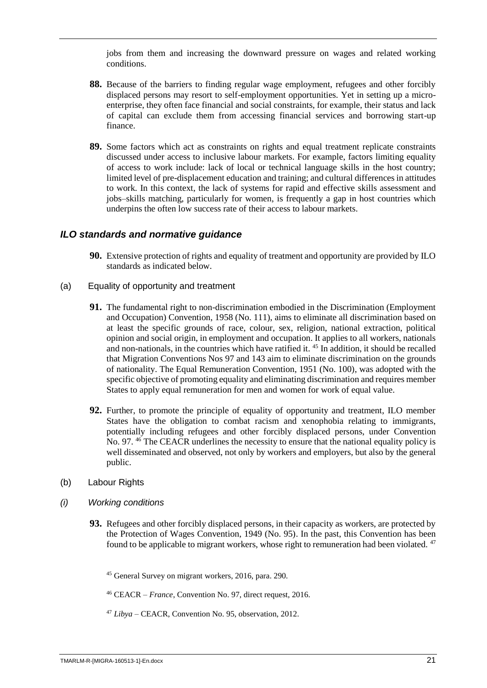jobs from them and increasing the downward pressure on wages and related working conditions.

- **88.** Because of the barriers to finding regular wage employment, refugees and other forcibly displaced persons may resort to self-employment opportunities. Yet in setting up a microenterprise, they often face financial and social constraints, for example, their status and lack of capital can exclude them from accessing financial services and borrowing start-up finance.
- **89.** Some factors which act as constraints on rights and equal treatment replicate constraints discussed under access to inclusive labour markets. For example, factors limiting equality of access to work include: lack of local or technical language skills in the host country; limited level of pre-displacement education and training; and cultural differences in attitudes to work. In this context, the lack of systems for rapid and effective skills assessment and jobs–skills matching, particularly for women, is frequently a gap in host countries which underpins the often low success rate of their access to labour markets.

#### <span id="page-26-0"></span>*ILO standards and normative guidance*

- **90.** Extensive protection of rights and equality of treatment and opportunity are provided by ILO standards as indicated below.
- (a) Equality of opportunity and treatment
	- **91.** The fundamental right to non-discrimination embodied in the Discrimination (Employment and Occupation) Convention, 1958 (No. 111), aims to eliminate all discrimination based on at least the specific grounds of race, colour, sex, religion, national extraction, political opinion and social origin, in employment and occupation. It applies to all workers, nationals and non-nationals, in the countries which have ratified it. <sup>45</sup> In addition, it should be recalled that Migration Conventions Nos 97 and 143 aim to eliminate discrimination on the grounds of nationality. The Equal Remuneration Convention, 1951 (No. 100), was adopted with the specific objective of promoting equality and eliminating discrimination and requires member States to apply equal remuneration for men and women for work of equal value.
	- **92.** Further, to promote the principle of equality of opportunity and treatment, ILO member States have the obligation to combat racism and xenophobia relating to immigrants, potentially including refugees and other forcibly displaced persons, under Convention No. 97. <sup>46</sup> The CEACR underlines the necessity to ensure that the national equality policy is well disseminated and observed, not only by workers and employers, but also by the general public.
- (b) Labour Rights
- *(i) Working conditions*
	- **93.** Refugees and other forcibly displaced persons, in their capacity as workers, are protected by the Protection of Wages Convention, 1949 (No. 95). In the past, this Convention has been found to be applicable to migrant workers, whose right to remuneration had been violated. <sup>47</sup>

<sup>45</sup> General Survey on migrant workers, 2016, para. 290.

<sup>46</sup> CEACR – *France*, Convention No. 97, direct request, 2016.

<sup>47</sup> *Libya* – CEACR, Convention No. 95, observation, 2012.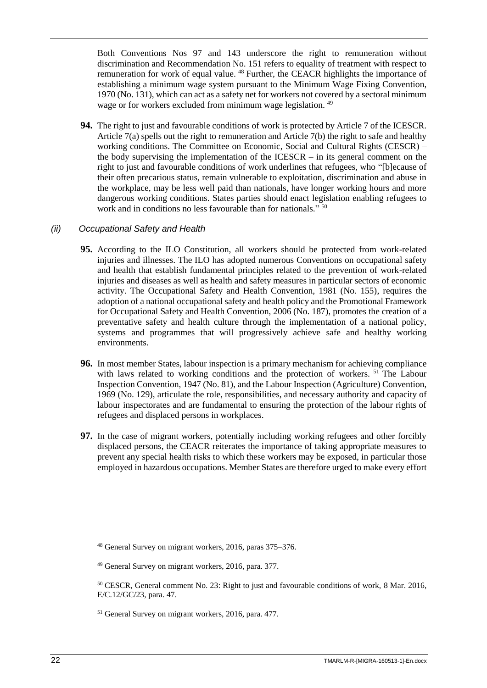Both Conventions Nos 97 and 143 underscore the right to remuneration without discrimination and Recommendation No. 151 refers to equality of treatment with respect to remuneration for work of equal value.<sup>48</sup> Further, the CEACR highlights the importance of establishing a minimum wage system pursuant to the Minimum Wage Fixing Convention, 1970 (No. 131), which can act as a safety net for workers not covered by a sectoral minimum wage or for workers excluded from minimum wage legislation.<sup>49</sup>

**94.** The right to just and favourable conditions of work is protected by Article 7 of the ICESCR. Article 7(a) spells out the right to remuneration and Article 7(b) the right to safe and healthy working conditions. The Committee on Economic, Social and Cultural Rights (CESCR) – the body supervising the implementation of the ICESCR – in its general comment on the right to just and favourable conditions of work underlines that refugees, who "[b]ecause of their often precarious status, remain vulnerable to exploitation, discrimination and abuse in the workplace, may be less well paid than nationals, have longer working hours and more dangerous working conditions. States parties should enact legislation enabling refugees to work and in conditions no less favourable than for nationals." <sup>50</sup>

#### *(ii) Occupational Safety and Health*

- **95.** According to the ILO Constitution, all workers should be protected from work-related injuries and illnesses. The ILO has adopted numerous Conventions on occupational safety and health that establish fundamental principles related to the prevention of work-related injuries and diseases as well as health and safety measures in particular sectors of economic activity. The Occupational Safety and Health Convention, 1981 (No. 155), requires the adoption of a national occupational safety and health policy and the Promotional Framework for Occupational Safety and Health Convention, 2006 (No. 187), promotes the creation of a preventative safety and health culture through the implementation of a national policy, systems and programmes that will progressively achieve safe and healthy working environments.
- **96.** In most member States, labour inspection is a primary mechanism for achieving compliance with laws related to working conditions and the protection of workers. <sup>51</sup> The Labour Inspection Convention, 1947 (No. 81), and the Labour Inspection (Agriculture) Convention, 1969 (No. 129), articulate the role, responsibilities, and necessary authority and capacity of labour inspectorates and are fundamental to ensuring the protection of the labour rights of refugees and displaced persons in workplaces.
- **97.** In the case of migrant workers, potentially including working refugees and other forcibly displaced persons, the CEACR reiterates the importance of taking appropriate measures to prevent any special health risks to which these workers may be exposed, in particular those employed in hazardous occupations. Member States are therefore urged to make every effort

<sup>51</sup> General Survey on migrant workers, 2016, para. 477.

<sup>48</sup> General Survey on migrant workers, 2016, paras 375–376.

<sup>&</sup>lt;sup>49</sup> General Survey on migrant workers, 2016, para. 377.

<sup>50</sup> CESCR, General comment No. 23: Right to just and favourable conditions of work, 8 Mar. 2016, E/C.12/GC/23, para. 47.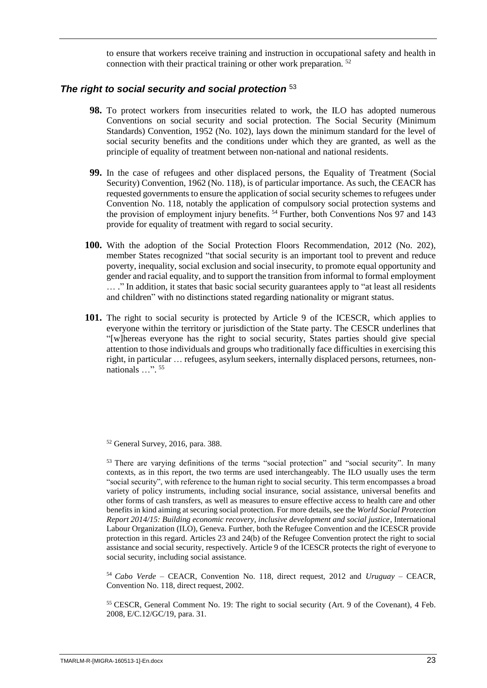to ensure that workers receive training and instruction in occupational safety and health in connection with their practical training or other work preparation. <sup>52</sup>

#### <span id="page-28-0"></span>*The right to social security and social protection* <sup>53</sup>

- **98.** To protect workers from insecurities related to work, the ILO has adopted numerous Conventions on social security and social protection. The Social Security (Minimum Standards) Convention, 1952 (No. 102), lays down the minimum standard for the level of social security benefits and the conditions under which they are granted, as well as the principle of equality of treatment between non-national and national residents.
- **99.** In the case of refugees and other displaced persons, the Equality of Treatment (Social Security) Convention, 1962 (No. 118), is of particular importance. As such, the CEACR has requested governments to ensure the application of social security schemes to refugees under Convention No. 118, notably the application of compulsory social protection systems and the provision of employment injury benefits. <sup>54</sup> Further, both Conventions Nos 97 and 143 provide for equality of treatment with regard to social security.
- **100.** With the adoption of the Social Protection Floors Recommendation, 2012 (No. 202), member States recognized "that social security is an important tool to prevent and reduce poverty, inequality, social exclusion and social insecurity, to promote equal opportunity and gender and racial equality, and to support the transition from informal to formal employment … ." In addition, it states that basic social security guarantees apply to "at least all residents and children" with no distinctions stated regarding nationality or migrant status.
- **101.** The right to social security is protected by Article 9 of the ICESCR, which applies to everyone within the territory or jurisdiction of the State party. The CESCR underlines that "[w]hereas everyone has the right to social security, States parties should give special attention to those individuals and groups who traditionally face difficulties in exercising this right, in particular … refugees, asylum seekers, internally displaced persons, returnees, nonnationals ...".<sup>55</sup>

<sup>54</sup> *Cabo Verde* – CEACR, Convention No. 118, direct request, 2012 and *Uruguay* – CEACR, Convention No. 118, direct request, 2002.

<sup>55</sup> CESCR, General Comment No. 19: The right to social security (Art. 9 of the Covenant), 4 Feb. 2008, E/C.12/GC/19, para. 31.

<sup>52</sup> General Survey, 2016, para. 388.

<sup>&</sup>lt;sup>53</sup> There are varying definitions of the terms "social protection" and "social security". In many contexts, as in this report, the two terms are used interchangeably. The ILO usually uses the term "social security", with reference to the human right to social security. This term encompasses a broad variety of policy instruments, including social insurance, social assistance, universal benefits and other forms of cash transfers, as well as measures to ensure effective access to health care and other benefits in kind aiming at securing social protection. For more details, see the *World Social Protection Report 2014/15: Building economic recovery, inclusive development and social justice*, International Labour Organization (ILO), Geneva. Further, both the Refugee Convention and the ICESCR provide protection in this regard. Articles 23 and 24(b) of the Refugee Convention protect the right to social assistance and social security, respectively. Article 9 of the ICESCR protects the right of everyone to social security, including social assistance.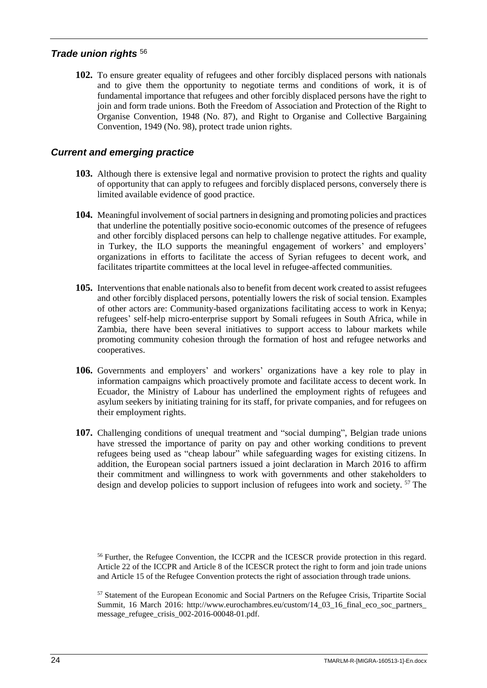#### <span id="page-29-0"></span>*Trade union rights* <sup>56</sup>

**102.** To ensure greater equality of refugees and other forcibly displaced persons with nationals and to give them the opportunity to negotiate terms and conditions of work, it is of fundamental importance that refugees and other forcibly displaced persons have the right to join and form trade unions. Both the Freedom of Association and Protection of the Right to Organise Convention, 1948 (No. 87), and Right to Organise and Collective Bargaining Convention, 1949 (No. 98), protect trade union rights.

#### <span id="page-29-1"></span>*Current and emerging practice*

- **103.** Although there is extensive legal and normative provision to protect the rights and quality of opportunity that can apply to refugees and forcibly displaced persons, conversely there is limited available evidence of good practice.
- **104.** Meaningful involvement of social partners in designing and promoting policies and practices that underline the potentially positive socio-economic outcomes of the presence of refugees and other forcibly displaced persons can help to challenge negative attitudes. For example, in Turkey, the ILO supports the meaningful engagement of workers' and employers' organizations in efforts to facilitate the access of Syrian refugees to decent work, and facilitates tripartite committees at the local level in refugee-affected communities.
- **105.** Interventions that enable nationals also to benefit from decent work created to assist refugees and other forcibly displaced persons, potentially lowers the risk of social tension. Examples of other actors are: Community-based organizations facilitating access to work in Kenya; refugees' self-help micro-enterprise support by Somali refugees in South Africa, while in Zambia, there have been several initiatives to support access to labour markets while promoting community cohesion through the formation of host and refugee networks and cooperatives.
- **106.** Governments and employers' and workers' organizations have a key role to play in information campaigns which proactively promote and facilitate access to decent work. In Ecuador, the Ministry of Labour has underlined the employment rights of refugees and asylum seekers by initiating training for its staff, for private companies, and for refugees on their employment rights.
- **107.** Challenging conditions of unequal treatment and "social dumping", Belgian trade unions have stressed the importance of parity on pay and other working conditions to prevent refugees being used as "cheap labour" while safeguarding wages for existing citizens. In addition, the European social partners issued a joint declaration in March 2016 to affirm their commitment and willingness to work with governments and other stakeholders to design and develop policies to support inclusion of refugees into work and society. <sup>57</sup> The

<sup>56</sup> Further, the Refugee Convention, the ICCPR and the ICESCR provide protection in this regard. Article 22 of the ICCPR and Article 8 of the ICESCR protect the right to form and join trade unions and Article 15 of the Refugee Convention protects the right of association through trade unions.

<sup>57</sup> Statement of the European Economic and Social Partners on the Refugee Crisis, Tripartite Social Summit, 16 March 2016: http://www.eurochambres.eu/custom/14\_03\_16\_final\_eco\_soc\_partners message refugee crisis  $002-2016-00048-01$ .pdf.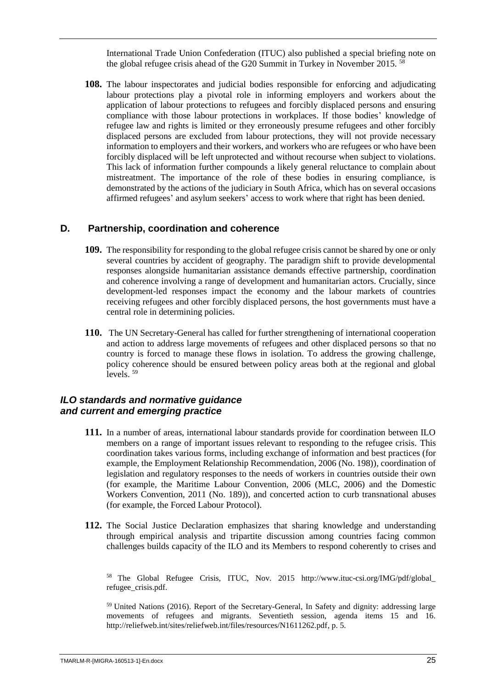International Trade Union Confederation (ITUC) also published a special briefing note on the global refugee crisis ahead of the G20 Summit in Turkey in November 2015.<sup>58</sup>

**108.** The labour inspectorates and judicial bodies responsible for enforcing and adjudicating labour protections play a pivotal role in informing employers and workers about the application of labour protections to refugees and forcibly displaced persons and ensuring compliance with those labour protections in workplaces. If those bodies' knowledge of refugee law and rights is limited or they erroneously presume refugees and other forcibly displaced persons are excluded from labour protections, they will not provide necessary information to employers and their workers, and workers who are refugees or who have been forcibly displaced will be left unprotected and without recourse when subject to violations. This lack of information further compounds a likely general reluctance to complain about mistreatment. The importance of the role of these bodies in ensuring compliance, is demonstrated by the actions of the judiciary in South Africa, which has on several occasions affirmed refugees' and asylum seekers' access to work where that right has been denied.

#### <span id="page-30-0"></span>**D. Partnership, coordination and coherence**

- **109.** The responsibility for responding to the global refugee crisis cannot be shared by one or only several countries by accident of geography. The paradigm shift to provide developmental responses alongside humanitarian assistance demands effective partnership, coordination and coherence involving a range of development and humanitarian actors. Crucially, since development-led responses impact the economy and the labour markets of countries receiving refugees and other forcibly displaced persons, the host governments must have a central role in determining policies.
- **110.** The UN Secretary-General has called for further strengthening of international cooperation and action to address large movements of refugees and other displaced persons so that no country is forced to manage these flows in isolation. To address the growing challenge, policy coherence should be ensured between policy areas both at the regional and global levels. <sup>59</sup>

#### <span id="page-30-1"></span>*ILO standards and normative guidance and current and emerging practice*

- **111.** In a number of areas, international labour standards provide for coordination between ILO members on a range of important issues relevant to responding to the refugee crisis. This coordination takes various forms, including exchange of information and best practices (for example, the Employment Relationship Recommendation, 2006 (No. 198)), coordination of legislation and regulatory responses to the needs of workers in countries outside their own (for example, the Maritime Labour Convention, 2006 (MLC, 2006) and the Domestic Workers Convention, 2011 (No. 189)), and concerted action to curb transnational abuses (for example, the Forced Labour Protocol).
- **112.** The Social Justice Declaration emphasizes that sharing knowledge and understanding through empirical analysis and tripartite discussion among countries facing common challenges builds capacity of the ILO and its Members to respond coherently to crises and

<sup>58</sup> The Global Refugee Crisis, ITUC, Nov. 2015 [http://www.ituc-csi.org/IMG/pdf/global\\_](http://www.ituc-csi.org/IMG/pdf/global_refugee_crisis.pdf) refugee\_crisis.pdf.

<sup>59</sup> United Nations (2016). Report of the Secretary-General, In Safety and dignity: addressing large movements of refugees and migrants. Seventieth session, agenda items 15 and 16. [http://reliefweb.int/sites/reliefweb.int/files/resources/N1611262.pdf,](http://reliefweb.int/sites/reliefweb.int/files/resources/N1611262.pdf) p. 5.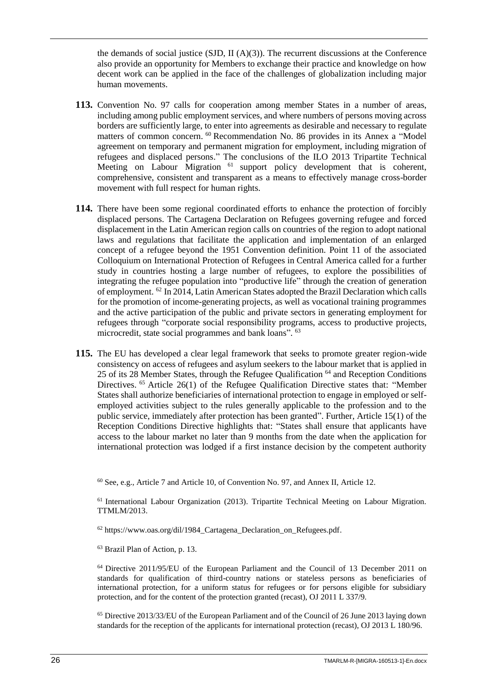the demands of social justice (SJD,  $II(A)(3)$ ). The recurrent discussions at the Conference also provide an opportunity for Members to exchange their practice and knowledge on how decent work can be applied in the face of the challenges of globalization including major human movements.

- **113.** Convention No. 97 calls for cooperation among member States in a number of areas, including among public employment services, and where numbers of persons moving across borders are sufficiently large, to enter into agreements as desirable and necessary to regulate matters of common concern. <sup>60</sup> Recommendation No. 86 provides in its Annex a "Model agreement on temporary and permanent migration for employment, including migration of refugees and displaced persons." The conclusions of the ILO 2013 Tripartite Technical Meeting on Labour Migration <sup>61</sup> support policy development that is coherent, comprehensive, consistent and transparent as a means to effectively manage cross-border movement with full respect for human rights.
- **114.** There have been some regional coordinated efforts to enhance the protection of forcibly displaced persons. The Cartagena Declaration on Refugees governing refugee and forced displacement in the Latin American region calls on countries of the region to adopt national laws and regulations that facilitate the application and implementation of an enlarged concept of a refugee beyond the 1951 Convention definition. Point 11 of the associated Colloquium on International Protection of Refugees in Central America called for a further study in countries hosting a large number of refugees, to explore the possibilities of integrating the refugee population into "productive life" through the creation of generation of employment. <sup>62</sup> In 2014, Latin American States adopted the Brazil Declaration which calls for the promotion of income-generating projects, as well as vocational training programmes and the active participation of the public and private sectors in generating employment for refugees through "corporate social responsibility programs, access to productive projects, microcredit, state social programmes and bank loans". 63
- **115.** The EU has developed a clear legal framework that seeks to promote greater region-wide consistency on access of refugees and asylum seekers to the labour market that is applied in 25 of its 28 Member States, through the Refugee Qualification  $64$  and Reception Conditions Directives. <sup>65</sup> Article 26(1) of the Refugee Qualification Directive states that: "Member States shall authorize beneficiaries of international protection to engage in employed or selfemployed activities subject to the rules generally applicable to the profession and to the public service, immediately after protection has been granted". Further, Article 15(1) of the Reception Conditions Directive highlights that: "States shall ensure that applicants have access to the labour market no later than 9 months from the date when the application for international protection was lodged if a first instance decision by the competent authority

 $60$  See, e.g., Article 7 and Article 10, of Convention No. 97, and Annex II, Article 12.

<sup>&</sup>lt;sup>61</sup> International Labour Organization (2013). Tripartite Technical Meeting on Labour Migration. TTMLM/2013.

<sup>62</sup> [https://www.oas.org/dil/1984\\_Cartagena\\_Declaration\\_on\\_Refugees.pdf.](https://www.oas.org/dil/1984_Cartagena_Declaration_on_Refugees.pdf)

<sup>63</sup> Brazil Plan of Action, p. 13.

 $64$  Directive 2011/95/EU of the European Parliament and the Council of 13 December 2011 on standards for qualification of third-country nations or stateless persons as beneficiaries of international protection, for a uniform status for refugees or for persons eligible for subsidiary protection, and for the content of the protection granted (recast), OJ 2011 L 337/9.

<sup>65</sup> Directive 2013/33/EU of the European Parliament and of the Council of 26 June 2013 laying down standards for the reception of the applicants for international protection (recast), OJ 2013 L 180/96.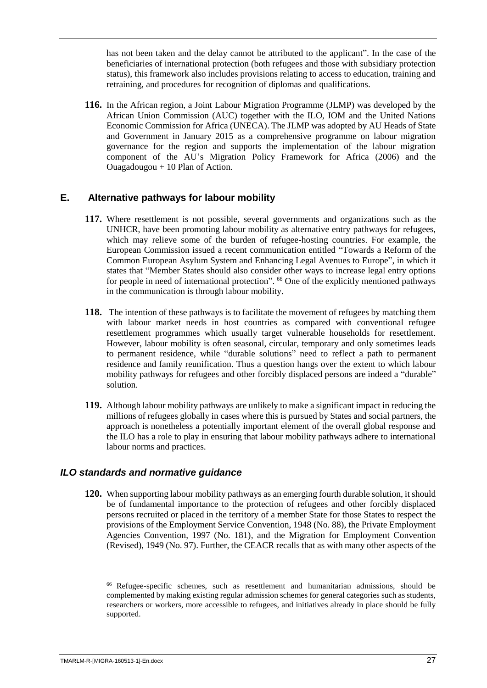has not been taken and the delay cannot be attributed to the applicant". In the case of the beneficiaries of international protection (both refugees and those with subsidiary protection status), this framework also includes provisions relating to access to education, training and retraining, and procedures for recognition of diplomas and qualifications.

**116.** In the African region, a Joint Labour Migration Programme (JLMP) was developed by the African Union Commission (AUC) together with the ILO, IOM and the United Nations Economic Commission for Africa (UNECA). The JLMP was adopted by AU Heads of State and Government in January 2015 as a comprehensive programme on labour migration governance for the region and supports the implementation of the labour migration component of the AU's Migration Policy Framework for Africa (2006) and the Ouagadougou + 10 Plan of Action.

#### <span id="page-32-0"></span>**E. Alternative pathways for labour mobility**

- **117.** Where resettlement is not possible, several governments and organizations such as the UNHCR, have been promoting labour mobility as alternative entry pathways for refugees, which may relieve some of the burden of refugee-hosting countries. For example, the European Commission issued a recent communication entitled "Towards a Reform of the Common European Asylum System and Enhancing Legal Avenues to Europe", in which it states that "Member States should also consider other ways to increase legal entry options for people in need of international protection". <sup>66</sup> One of the explicitly mentioned pathways in the communication is through labour mobility.
- **118.** The intention of these pathways is to facilitate the movement of refugees by matching them with labour market needs in host countries as compared with conventional refugee resettlement programmes which usually target vulnerable households for resettlement. However, labour mobility is often seasonal, circular, temporary and only sometimes leads to permanent residence, while "durable solutions" need to reflect a path to permanent residence and family reunification. Thus a question hangs over the extent to which labour mobility pathways for refugees and other forcibly displaced persons are indeed a "durable" solution.
- **119.** Although labour mobility pathways are unlikely to make a significant impact in reducing the millions of refugees globally in cases where this is pursued by States and social partners, the approach is nonetheless a potentially important element of the overall global response and the ILO has a role to play in ensuring that labour mobility pathways adhere to international labour norms and practices.

#### <span id="page-32-1"></span>*ILO standards and normative guidance*

**120.** When supporting labour mobility pathways as an emerging fourth durable solution, it should be of fundamental importance to the protection of refugees and other forcibly displaced persons recruited or placed in the territory of a member State for those States to respect the provisions of the Employment Service Convention, 1948 (No. 88), the Private Employment Agencies Convention, 1997 (No. 181), and the Migration for Employment Convention (Revised), 1949 (No. 97). Further, the CEACR recalls that as with many other aspects of the

<sup>66</sup> Refugee-specific schemes, such as resettlement and humanitarian admissions, should be complemented by making existing regular admission schemes for general categories such as students, researchers or workers, more accessible to refugees, and initiatives already in place should be fully supported.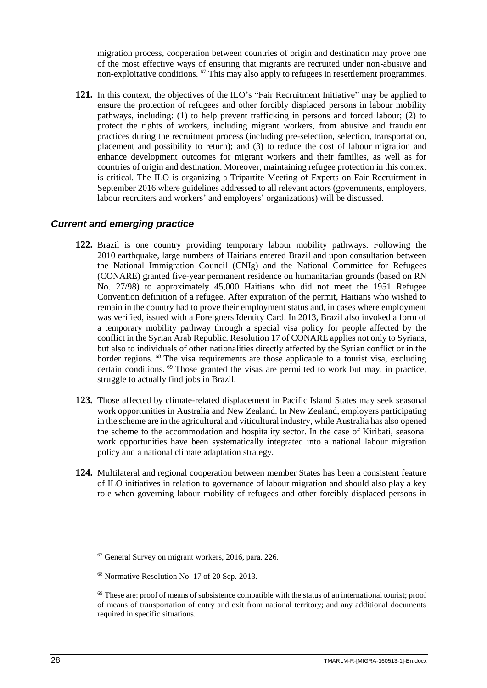migration process, cooperation between countries of origin and destination may prove one of the most effective ways of ensuring that migrants are recruited under non-abusive and non-exploitative conditions. <sup>67</sup> This may also apply to refugees in resettlement programmes.

**121.** In this context, the objectives of the ILO's "Fair Recruitment Initiative" may be applied to ensure the protection of refugees and other forcibly displaced persons in labour mobility pathways, including: (1) to help prevent trafficking in persons and forced labour; (2) to protect the rights of workers, including migrant workers, from abusive and fraudulent practices during the recruitment process (including pre-selection, selection, transportation, placement and possibility to return); and (3) to reduce the cost of labour migration and enhance development outcomes for migrant workers and their families, as well as for countries of origin and destination. Moreover, maintaining refugee protection in this context is critical. The ILO is organizing a Tripartite Meeting of Experts on Fair Recruitment in September 2016 where guidelines addressed to all relevant actors (governments, employers, labour recruiters and workers' and employers' organizations) will be discussed.

#### <span id="page-33-0"></span>*Current and emerging practice*

- **122.** Brazil is one country providing temporary labour mobility pathways. Following the 2010 earthquake, large numbers of Haitians entered Brazil and upon consultation between the National Immigration Council (CNIg) and the National Committee for Refugees (CONARE) granted five-year permanent residence on humanitarian grounds (based on RN No. 27/98) to approximately 45,000 Haitians who did not meet the 1951 Refugee Convention definition of a refugee. After expiration of the permit, Haitians who wished to remain in the country had to prove their employment status and, in cases where employment was verified, issued with a Foreigners Identity Card. In 2013, Brazil also invoked a form of a temporary mobility pathway through a special visa policy for people affected by the conflict in the Syrian Arab Republic. Resolution 17 of CONARE applies not only to Syrians, but also to individuals of other nationalities directly affected by the Syrian conflict or in the border regions. <sup>68</sup> The visa requirements are those applicable to a tourist visa, excluding certain conditions. <sup>69</sup> Those granted the visas are permitted to work but may, in practice, struggle to actually find jobs in Brazil.
- **123.** Those affected by climate-related displacement in Pacific Island States may seek seasonal work opportunities in Australia and New Zealand. In New Zealand, employers participating in the scheme are in the agricultural and viticultural industry, while Australia has also opened the scheme to the accommodation and hospitality sector. In the case of Kiribati, seasonal work opportunities have been systematically integrated into a national labour migration policy and a national climate adaptation strategy.
- **124.** Multilateral and regional cooperation between member States has been a consistent feature of ILO initiatives in relation to governance of labour migration and should also play a key role when governing labour mobility of refugees and other forcibly displaced persons in

<sup>67</sup> General Survey on migrant workers, 2016, para. 226.

<sup>68</sup> Normative Resolution No. 17 of 20 Sep. 2013.

 $69$  These are: proof of means of subsistence compatible with the status of an international tourist; proof of means of transportation of entry and exit from national territory; and any additional documents required in specific situations.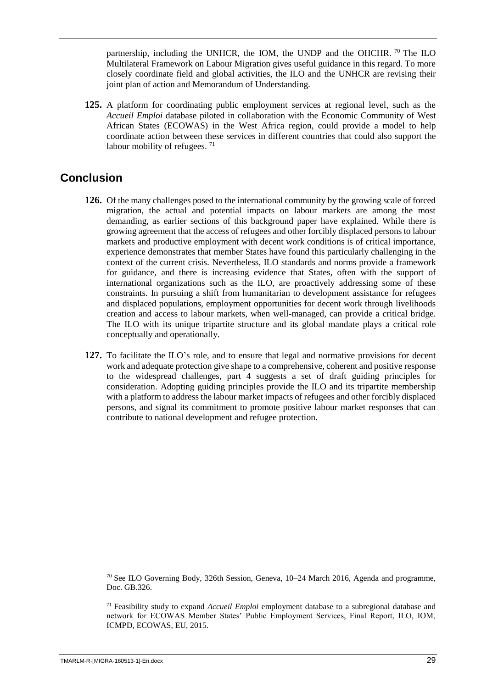partnership, including the UNHCR, the IOM, the UNDP and the OHCHR.  $\frac{70}{10}$  The ILO Multilateral Framework on Labour Migration gives useful guidance in this regard. To more closely coordinate field and global activities, the ILO and the UNHCR are revising their joint plan of action and Memorandum of Understanding.

**125.** A platform for coordinating public employment services at regional level, such as the *Accueil Emploi* database piloted in collaboration with the Economic Community of West African States (ECOWAS) in the West Africa region, could provide a model to help coordinate action between these services in different countries that could also support the labour mobility of refugees.  $71$ 

### <span id="page-34-0"></span>**Conclusion**

- **126.** Of the many challenges posed to the international community by the growing scale of forced migration, the actual and potential impacts on labour markets are among the most demanding, as earlier sections of this background paper have explained. While there is growing agreement that the access of refugees and other forcibly displaced persons to labour markets and productive employment with decent work conditions is of critical importance, experience demonstrates that member States have found this particularly challenging in the context of the current crisis. Nevertheless, ILO standards and norms provide a framework for guidance, and there is increasing evidence that States, often with the support of international organizations such as the ILO, are proactively addressing some of these constraints. In pursuing a shift from humanitarian to development assistance for refugees and displaced populations, employment opportunities for decent work through livelihoods creation and access to labour markets, when well-managed, can provide a critical bridge. The ILO with its unique tripartite structure and its global mandate plays a critical role conceptually and operationally.
- **127.** To facilitate the ILO's role, and to ensure that legal and normative provisions for decent work and adequate protection give shape to a comprehensive, coherent and positive response to the widespread challenges, part 4 suggests a set of draft guiding principles for consideration. Adopting guiding principles provide the ILO and its tripartite membership with a platform to address the labour market impacts of refugees and other forcibly displaced persons, and signal its commitment to promote positive labour market responses that can contribute to national development and refugee protection.

 $70$  See ILO Governing Body, 326th Session, Geneva, 10–24 March 2016, Agenda and programme, Doc. GB.326.

<sup>71</sup> Feasibility study to expand *Accueil Emploi* employment database to a subregional database and network for ECOWAS Member States' Public Employment Services, Final Report, ILO, IOM, ICMPD, ECOWAS, EU, 2015.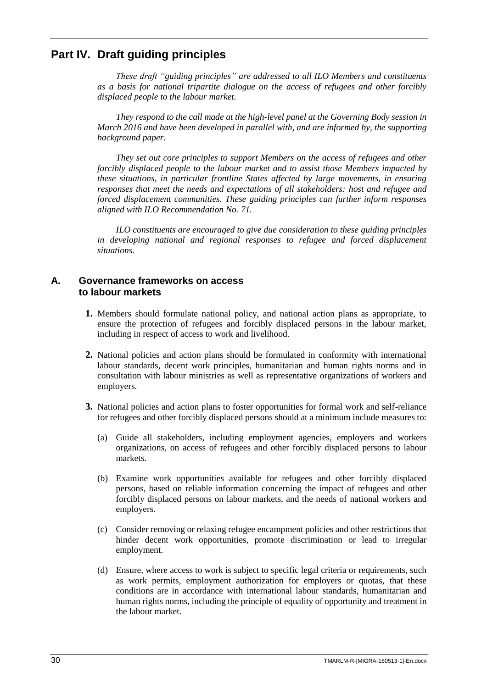### <span id="page-35-0"></span>**Part IV. Draft guiding principles**

*These draft "guiding principles" are addressed to all ILO Members and constituents as a basis for national tripartite dialogue on the access of refugees and other forcibly displaced people to the labour market.*

*They respond to the call made at the high-level panel at the Governing Body session in March 2016 and have been developed in parallel with, and are informed by, the supporting background paper.*

*They set out core principles to support Members on the access of refugees and other forcibly displaced people to the labour market and to assist those Members impacted by these situations, in particular frontline States affected by large movements, in ensuring responses that meet the needs and expectations of all stakeholders: host and refugee and forced displacement communities. These guiding principles can further inform responses aligned with ILO Recommendation No. 71.*

*ILO constituents are encouraged to give due consideration to these guiding principles in developing national and regional responses to refugee and forced displacement situations.*

#### <span id="page-35-1"></span>**A. Governance frameworks on access to labour markets**

- **1.** Members should formulate national policy, and national action plans as appropriate, to ensure the protection of refugees and forcibly displaced persons in the labour market, including in respect of access to work and livelihood.
- **2.** National policies and action plans should be formulated in conformity with international labour standards, decent work principles, humanitarian and human rights norms and in consultation with labour ministries as well as representative organizations of workers and employers.
- **3.** National policies and action plans to foster opportunities for formal work and self-reliance for refugees and other forcibly displaced persons should at a minimum include measures to:
	- (a) Guide all stakeholders, including employment agencies, employers and workers organizations, on access of refugees and other forcibly displaced persons to labour markets.
	- (b) Examine work opportunities available for refugees and other forcibly displaced persons, based on reliable information concerning the impact of refugees and other forcibly displaced persons on labour markets, and the needs of national workers and employers.
	- (c) Consider removing or relaxing refugee encampment policies and other restrictions that hinder decent work opportunities, promote discrimination or lead to irregular employment.
	- (d) Ensure, where access to work is subject to specific legal criteria or requirements, such as work permits, employment authorization for employers or quotas, that these conditions are in accordance with international labour standards, humanitarian and human rights norms, including the principle of equality of opportunity and treatment in the labour market.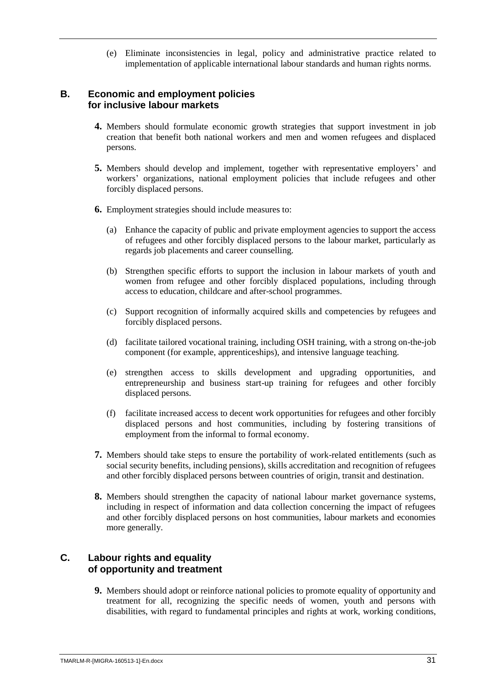(e) Eliminate inconsistencies in legal, policy and administrative practice related to implementation of applicable international labour standards and human rights norms.

#### <span id="page-36-0"></span>**B. Economic and employment policies for inclusive labour markets**

- **4.** Members should formulate economic growth strategies that support investment in job creation that benefit both national workers and men and women refugees and displaced persons.
- **5.** Members should develop and implement, together with representative employers' and workers' organizations, national employment policies that include refugees and other forcibly displaced persons.
- **6.** Employment strategies should include measures to:
	- (a) Enhance the capacity of public and private employment agencies to support the access of refugees and other forcibly displaced persons to the labour market, particularly as regards job placements and career counselling.
	- (b) Strengthen specific efforts to support the inclusion in labour markets of youth and women from refugee and other forcibly displaced populations, including through access to education, childcare and after-school programmes.
	- (c) Support recognition of informally acquired skills and competencies by refugees and forcibly displaced persons.
	- (d) facilitate tailored vocational training, including OSH training, with a strong on-the-job component (for example, apprenticeships), and intensive language teaching.
	- (e) strengthen access to skills development and upgrading opportunities, and entrepreneurship and business start-up training for refugees and other forcibly displaced persons.
	- (f) facilitate increased access to decent work opportunities for refugees and other forcibly displaced persons and host communities, including by fostering transitions of employment from the informal to formal economy.
- **7.** Members should take steps to ensure the portability of work-related entitlements (such as social security benefits, including pensions), skills accreditation and recognition of refugees and other forcibly displaced persons between countries of origin, transit and destination.
- **8.** Members should strengthen the capacity of national labour market governance systems, including in respect of information and data collection concerning the impact of refugees and other forcibly displaced persons on host communities, labour markets and economies more generally.

#### <span id="page-36-1"></span>**C. Labour rights and equality of opportunity and treatment**

**9.** Members should adopt or reinforce national policies to promote equality of opportunity and treatment for all, recognizing the specific needs of women, youth and persons with disabilities, with regard to fundamental principles and rights at work, working conditions,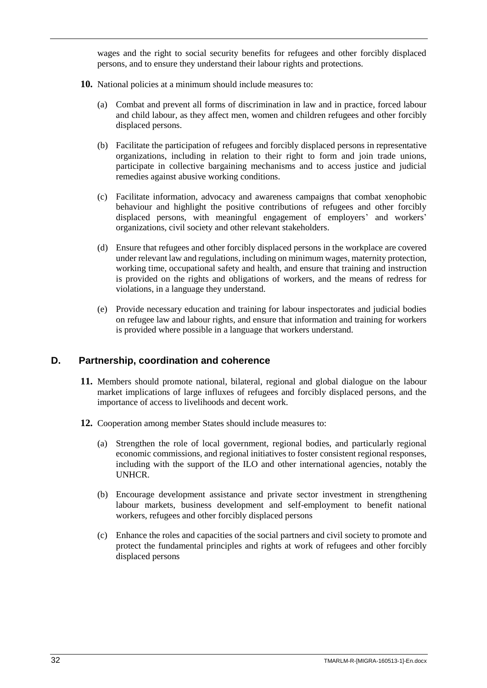wages and the right to social security benefits for refugees and other forcibly displaced persons, and to ensure they understand their labour rights and protections.

- **10.** National policies at a minimum should include measures to:
	- (a) Combat and prevent all forms of discrimination in law and in practice, forced labour and child labour, as they affect men, women and children refugees and other forcibly displaced persons.
	- (b) Facilitate the participation of refugees and forcibly displaced persons in representative organizations, including in relation to their right to form and join trade unions, participate in collective bargaining mechanisms and to access justice and judicial remedies against abusive working conditions.
	- (c) Facilitate information, advocacy and awareness campaigns that combat xenophobic behaviour and highlight the positive contributions of refugees and other forcibly displaced persons, with meaningful engagement of employers' and workers' organizations, civil society and other relevant stakeholders.
	- (d) Ensure that refugees and other forcibly displaced persons in the workplace are covered under relevant law and regulations, including on minimum wages, maternity protection, working time, occupational safety and health, and ensure that training and instruction is provided on the rights and obligations of workers, and the means of redress for violations, in a language they understand.
	- (e) Provide necessary education and training for labour inspectorates and judicial bodies on refugee law and labour rights, and ensure that information and training for workers is provided where possible in a language that workers understand.

#### <span id="page-37-0"></span>**D. Partnership, coordination and coherence**

- **11.** Members should promote national, bilateral, regional and global dialogue on the labour market implications of large influxes of refugees and forcibly displaced persons, and the importance of access to livelihoods and decent work.
- **12.** Cooperation among member States should include measures to:
	- (a) Strengthen the role of local government, regional bodies, and particularly regional economic commissions, and regional initiatives to foster consistent regional responses, including with the support of the ILO and other international agencies, notably the UNHCR.
	- (b) Encourage development assistance and private sector investment in strengthening labour markets, business development and self-employment to benefit national workers, refugees and other forcibly displaced persons
	- (c) Enhance the roles and capacities of the social partners and civil society to promote and protect the fundamental principles and rights at work of refugees and other forcibly displaced persons